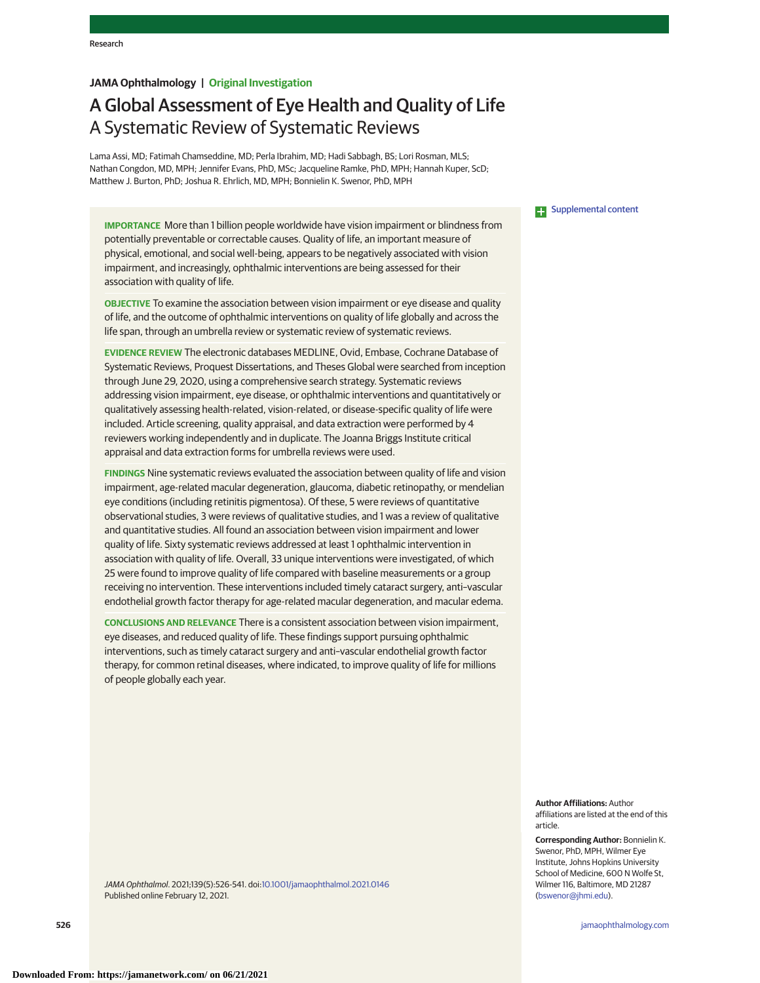# **JAMA Ophthalmology | Original Investigation**

# A Global Assessment of Eye Health and Quality of Life A Systematic Review of Systematic Reviews

Lama Assi, MD; Fatimah Chamseddine, MD; Perla Ibrahim, MD; Hadi Sabbagh, BS; Lori Rosman, MLS; Nathan Congdon, MD, MPH; Jennifer Evans, PhD, MSc; Jacqueline Ramke, PhD, MPH; Hannah Kuper, ScD; Matthew J. Burton, PhD; Joshua R. Ehrlich, MD, MPH; Bonnielin K. Swenor, PhD, MPH

**IMPORTANCE** More than 1 billion people worldwide have vision impairment or blindness from potentially preventable or correctable causes. Quality of life, an important measure of physical, emotional, and social well-being, appears to be negatively associated with vision impairment, and increasingly, ophthalmic interventions are being assessed for their association with quality of life.

**OBJECTIVE** To examine the association between vision impairment or eye disease and quality of life, and the outcome of ophthalmic interventions on quality of life globally and across the life span, through an umbrella review or systematic review of systematic reviews.

**EVIDENCE REVIEW** The electronic databases MEDLINE, Ovid, Embase, Cochrane Database of Systematic Reviews, Proquest Dissertations, and Theses Global were searched from inception through June 29, 2020, using a comprehensive search strategy. Systematic reviews addressing vision impairment, eye disease, or ophthalmic interventions and quantitatively or qualitatively assessing health-related, vision-related, or disease-specific quality of life were included. Article screening, quality appraisal, and data extraction were performed by 4 reviewers working independently and in duplicate. The Joanna Briggs Institute critical appraisal and data extraction forms for umbrella reviews were used.

**FINDINGS** Nine systematic reviews evaluated the association between quality of life and vision impairment, age-related macular degeneration, glaucoma, diabetic retinopathy, or mendelian eye conditions (including retinitis pigmentosa). Of these, 5 were reviews of quantitative observational studies, 3 were reviews of qualitative studies, and 1 was a review of qualitative and quantitative studies. All found an association between vision impairment and lower quality of life. Sixty systematic reviews addressed at least 1 ophthalmic intervention in association with quality of life. Overall, 33 unique interventions were investigated, of which 25 were found to improve quality of life compared with baseline measurements or a group receiving no intervention. These interventions included timely cataract surgery, anti–vascular endothelial growth factor therapy for age-related macular degeneration, and macular edema.

**CONCLUSIONS AND RELEVANCE** There is a consistent association between vision impairment, eye diseases, and reduced quality of life. These findings support pursuing ophthalmic interventions, such as timely cataract surgery and anti–vascular endothelial growth factor therapy, for common retinal diseases, where indicated, to improve quality of life for millions of people globally each year.

JAMA Ophthalmol. 2021;139(5):526-541. doi[:10.1001/jamaophthalmol.2021.0146](https://jamanetwork.com/journals/jama/fullarticle/10.1001/jamaophthalmol.2021.0146?utm_campaign=articlePDF%26utm_medium=articlePDFlink%26utm_source=articlePDF%26utm_content=jamaophthalmol.2021.0146) Published online February 12, 2021.

**Examplemental content** 

**Author Affiliations:** Author affiliations are listed at the end of this article.

**Corresponding Author:** Bonnielin K. Swenor, PhD, MPH, Wilmer Eye Institute, Johns Hopkins University School of Medicine, 600 N Wolfe St, Wilmer 116, Baltimore, MD 21287 [\(bswenor@jhmi.edu\)](mailto:bswenor@jhmi.edu).

**526 (Reprinted)** [jamaophthalmology.com](http://www.jamaophthalmology.com?utm_campaign=articlePDF%26utm_medium=articlePDFlink%26utm_source=articlePDF%26utm_content=jamaophthalmol.2021.0146)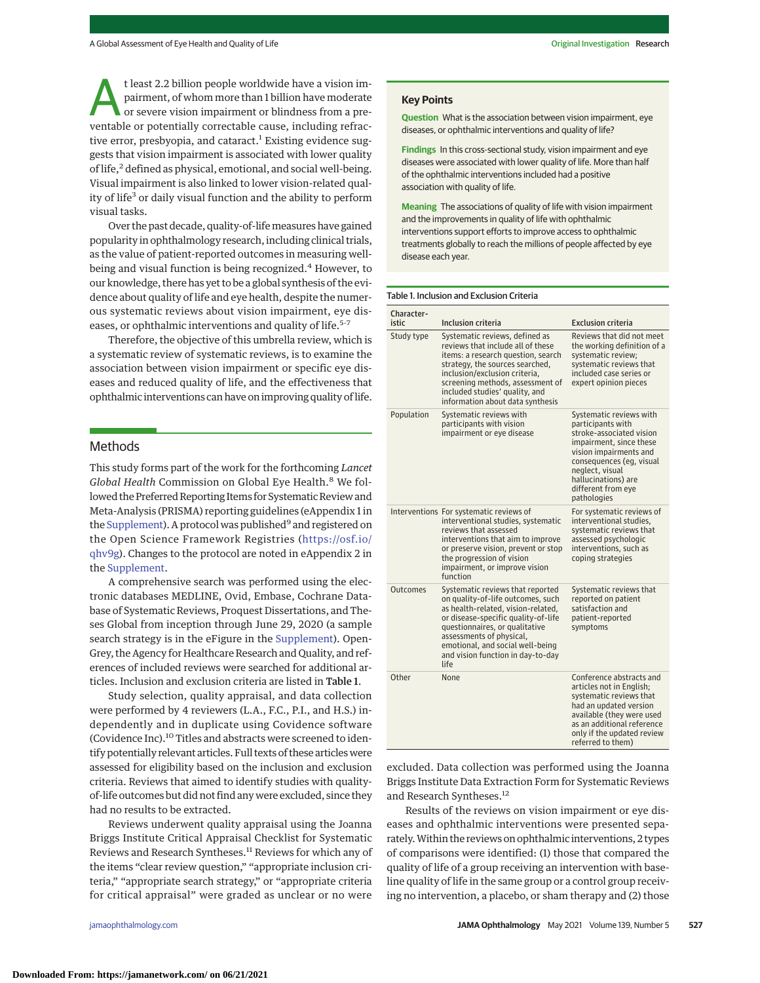t least 2.2 billion people worldwide have a vision impairment, of whom more than 1 billion have moderate or severe vision impairment or blindness from a preventable or potentially correctable cause, including refractive error, presbyopia, and cataract.<sup>1</sup> Existing evidence suggests that vision impairment is associated with lower quality of life,<sup>2</sup> defined as physical, emotional, and social well-being. Visual impairment is also linked to lower vision-related quality of life<sup>3</sup> or daily visual function and the ability to perform visual tasks.

Over the past decade, quality-of-lifemeasures have gained popularity in ophthalmology research, including clinical trials, as the value of patient-reported outcomes in measuring wellbeing and visual function is being recognized.<sup>4</sup> However, to our knowledge, there has yet to be a global synthesis of the evidence about quality of life and eye health, despite the numerous systematic reviews about vision impairment, eye diseases, or ophthalmic interventions and quality of life.<sup>5-7</sup>

Therefore, the objective of this umbrella review, which is a systematic review of systematic reviews, is to examine the association between vision impairment or specific eye diseases and reduced quality of life, and the effectiveness that ophthalmic interventions can have on improving quality of life.

# Methods

This study forms part of the work for the forthcoming *Lancet Global Health* Commission on Global Eye Health.<sup>8</sup> We followed the Preferred Reporting Items for Systematic Review and Meta-Analysis (PRISMA) reporting guidelines (eAppendix 1 in the [Supplement\)](https://jamanetwork.com/journals/jama/fullarticle/10.1001/jamaophthalmol.2021.0146?utm_campaign=articlePDF%26utm_medium=articlePDFlink%26utm_source=articlePDF%26utm_content=jamaophthalmol.2021.0146). A protocol was published<sup>9</sup> and registered on the Open Science Framework Registries [\(https://osf.io/](https://osf.io/qhv9g) [qhv9g\)](https://osf.io/qhv9g). Changes to the protocol are noted in eAppendix 2 in the [Supplement.](https://jamanetwork.com/journals/jama/fullarticle/10.1001/jamaophthalmol.2021.0146?utm_campaign=articlePDF%26utm_medium=articlePDFlink%26utm_source=articlePDF%26utm_content=jamaophthalmol.2021.0146)

A comprehensive search was performed using the electronic databases MEDLINE, Ovid, Embase, Cochrane Database of Systematic Reviews, Proquest Dissertations, and Theses Global from inception through June 29, 2020 (a sample search strategy is in the eFigure in the [Supplement\)](https://jamanetwork.com/journals/jama/fullarticle/10.1001/jamaophthalmol.2021.0146?utm_campaign=articlePDF%26utm_medium=articlePDFlink%26utm_source=articlePDF%26utm_content=jamaophthalmol.2021.0146). Open-Grey, the Agency for Healthcare Research and Quality, and references of included reviews were searched for additional articles. Inclusion and exclusion criteria are listed in Table 1.

Study selection, quality appraisal, and data collection were performed by 4 reviewers (L.A., F.C., P.I., and H.S.) independently and in duplicate using Covidence software (Covidence Inc).<sup>10</sup> Titles and abstracts were screened to identify potentially relevant articles. Full texts of these articles were assessed for eligibility based on the inclusion and exclusion criteria. Reviews that aimed to identify studies with qualityof-life outcomes but did not find any were excluded, since they had no results to be extracted.

Reviews underwent quality appraisal using the Joanna Briggs Institute Critical Appraisal Checklist for Systematic Reviews and Research Syntheses.<sup>11</sup> Reviews for which any of the items "clear review question," "appropriate inclusion criteria," "appropriate search strategy," or "appropriate criteria for critical appraisal" were graded as unclear or no were

## **Key Points**

**Question** What is the association between vision impairment, eye diseases, or ophthalmic interventions and quality of life?

**Findings** In this cross-sectional study, vision impairment and eye diseases were associated with lower quality of life. More than half of the ophthalmic interventions included had a positive association with quality of life.

**Meaning** The associations of quality of life with vision impairment and the improvements in quality of life with ophthalmic interventions support efforts to improve access to ophthalmic treatments globally to reach the millions of people affected by eye disease each year.

#### Table 1. Inclusion and Exclusion Criteria

| Character-<br>istic | <b>Inclusion criteria</b>                                                                                                                                                                                                                                                                         | <b>Exclusion criteria</b>                                                                                                                                                                                                                |
|---------------------|---------------------------------------------------------------------------------------------------------------------------------------------------------------------------------------------------------------------------------------------------------------------------------------------------|------------------------------------------------------------------------------------------------------------------------------------------------------------------------------------------------------------------------------------------|
| Study type          | Systematic reviews, defined as<br>reviews that include all of these<br>items: a research question, search<br>strategy, the sources searched,<br>inclusion/exclusion criteria,<br>screening methods, assessment of<br>included studies' quality, and<br>information about data synthesis           | Reviews that did not meet<br>the working definition of a<br>systematic review:<br>systematic reviews that<br>included case series or<br>expert opinion pieces                                                                            |
| Population          | Systematic reviews with<br>participants with vision<br>impairment or eve disease                                                                                                                                                                                                                  | Systematic reviews with<br>participants with<br>stroke-associated vision<br>impairment, since these<br>vision impairments and<br>consequences (eq. visual<br>neglect, visual<br>hallucinations) are<br>different from eve<br>pathologies |
|                     | Interventions For systematic reviews of<br>interventional studies, systematic<br>reviews that assessed<br>interventions that aim to improve<br>or preserve vision, prevent or stop<br>the progression of vision<br>impairment, or improve vision<br>function                                      | For systematic reviews of<br>interventional studies,<br>systematic reviews that<br>assessed psychologic<br>interventions, such as<br>coping strategies                                                                                   |
| Outcomes            | Systematic reviews that reported<br>on quality-of-life outcomes, such<br>as health-related, vision-related,<br>or disease-specific quality-of-life<br>questionnaires, or qualitative<br>assessments of physical,<br>emotional, and social well-being<br>and vision function in day-to-day<br>life | Systematic reviews that<br>reported on patient<br>satisfaction and<br>patient-reported<br>symptoms                                                                                                                                       |
| Other               | None                                                                                                                                                                                                                                                                                              | Conference abstracts and<br>articles not in English;<br>systematic reviews that<br>had an updated version<br>available (they were used<br>as an additional reference<br>only if the updated review<br>referred to them)                  |

excluded. Data collection was performed using the Joanna Briggs Institute Data Extraction Form for Systematic Reviews and Research Syntheses.<sup>12</sup>

Results of the reviews on vision impairment or eye diseases and ophthalmic interventions were presented separately.Within the reviews on ophthalmic interventions, 2 types of comparisons were identified: (1) those that compared the quality of life of a group receiving an intervention with baseline quality of life in the same group or a control group receiving no intervention, a placebo, or sham therapy and (2) those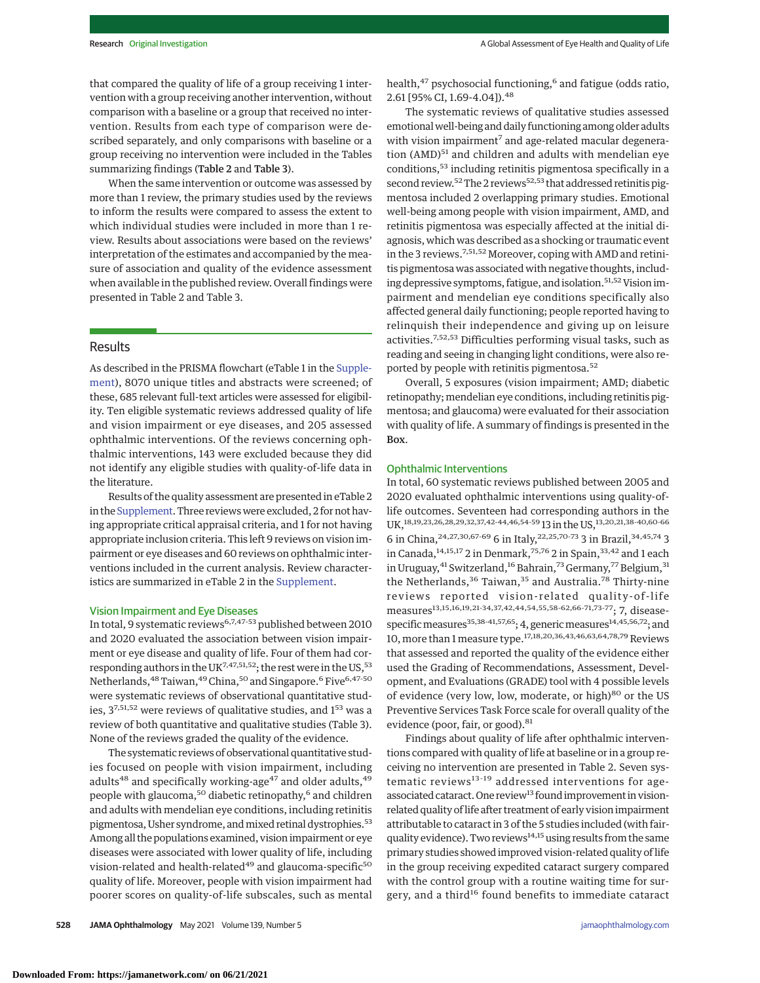that compared the quality of life of a group receiving 1 intervention with a group receiving another intervention, without comparison with a baseline or a group that received no intervention. Results from each type of comparison were described separately, and only comparisons with baseline or a group receiving no intervention were included in the Tables summarizing findings (Table 2 and Table 3).

When the same intervention or outcome was assessed by more than 1 review, the primary studies used by the reviews to inform the results were compared to assess the extent to which individual studies were included in more than 1 review. Results about associations were based on the reviews' interpretation of the estimates and accompanied by the measure of association and quality of the evidence assessment when available in the published review. Overall findings were presented in Table 2 and Table 3.

# Results

As described in the PRISMA flowchart (eTable 1 in the [Supple](https://jamanetwork.com/journals/jama/fullarticle/10.1001/jamaophthalmol.2021.0146?utm_campaign=articlePDF%26utm_medium=articlePDFlink%26utm_source=articlePDF%26utm_content=jamaophthalmol.2021.0146)[ment\)](https://jamanetwork.com/journals/jama/fullarticle/10.1001/jamaophthalmol.2021.0146?utm_campaign=articlePDF%26utm_medium=articlePDFlink%26utm_source=articlePDF%26utm_content=jamaophthalmol.2021.0146), 8070 unique titles and abstracts were screened; of these, 685 relevant full-text articles were assessed for eligibility. Ten eligible systematic reviews addressed quality of life and vision impairment or eye diseases, and 205 assessed ophthalmic interventions. Of the reviews concerning ophthalmic interventions, 143 were excluded because they did not identify any eligible studies with quality-of-life data in the literature.

Results of the quality assessment are presented in eTable 2 in the [Supplement.](https://jamanetwork.com/journals/jama/fullarticle/10.1001/jamaophthalmol.2021.0146?utm_campaign=articlePDF%26utm_medium=articlePDFlink%26utm_source=articlePDF%26utm_content=jamaophthalmol.2021.0146) Three reviews were excluded, 2 for not having appropriate critical appraisal criteria, and 1 for not having appropriate inclusion criteria. This left 9 reviews on vision impairment or eye diseases and 60 reviews on ophthalmic interventions included in the current analysis. Review characteristics are summarized in eTable 2 in the [Supplement.](https://jamanetwork.com/journals/jama/fullarticle/10.1001/jamaophthalmol.2021.0146?utm_campaign=articlePDF%26utm_medium=articlePDFlink%26utm_source=articlePDF%26utm_content=jamaophthalmol.2021.0146)

## Vision Impairment and Eye Diseases

In total, 9 systematic reviews6,7,47-53 published between 2010 and 2020 evaluated the association between vision impairment or eye disease and quality of life. Four of them had corresponding authors in the UK<sup>7,47,51,52</sup>; the rest were in the US,<sup>53</sup> Netherlands, <sup>48</sup> Taiwan, <sup>49</sup> China, <sup>50</sup> and Singapore.<sup>6</sup> Five<sup>6, 47-50</sup> were systematic reviews of observational quantitative studies,  $3^{7,51,52}$  were reviews of qualitative studies, and  $1^{53}$  was a review of both quantitative and qualitative studies (Table 3). None of the reviews graded the quality of the evidence.

The systematic reviews of observational quantitative studies focused on people with vision impairment, including adults<sup>48</sup> and specifically working-age<sup>47</sup> and older adults,  $49$ people with glaucoma,<sup>50</sup> diabetic retinopathy,<sup>6</sup> and children and adults with mendelian eye conditions, including retinitis pigmentosa, Usher syndrome, and mixed retinal dystrophies.<sup>53</sup> Among all the populations examined, vision impairment or eye diseases were associated with lower quality of life, including vision-related and health-related<sup>49</sup> and glaucoma-specific<sup>50</sup> quality of life. Moreover, people with vision impairment had poorer scores on quality-of-life subscales, such as mental

health,<sup>47</sup> psychosocial functioning,<sup>6</sup> and fatigue (odds ratio, 2.61 [95% CI, 1.69-4.04]).<sup>48</sup>

The systematic reviews of qualitative studies assessed emotional well-being and daily functioning among older adults with vision impairment<sup>7</sup> and age-related macular degeneration (AMD)<sup>51</sup> and children and adults with mendelian eye conditions,<sup>53</sup> including retinitis pigmentosa specifically in a second review.<sup>52</sup> The 2 reviews<sup>52,53</sup> that addressed retinitis pigmentosa included 2 overlapping primary studies. Emotional well-being among people with vision impairment, AMD, and retinitis pigmentosa was especially affected at the initial diagnosis, which was described as a shocking or traumatic event in the 3 reviews.7,51,52 Moreover, coping with AMD and retinitis pigmentosa was associated with negative thoughts, including depressive symptoms, fatigue, and isolation.<sup>51,52</sup> Vision impairment and mendelian eye conditions specifically also affected general daily functioning; people reported having to relinquish their independence and giving up on leisure activities.7,52,53 Difficulties performing visual tasks, such as reading and seeing in changing light conditions, were also reported by people with retinitis pigmentosa.<sup>52</sup>

Overall, 5 exposures (vision impairment; AMD; diabetic retinopathy; mendelian eye conditions, including retinitis pigmentosa; and glaucoma) were evaluated for their association with quality of life. A summary of findings is presented in the Box.

# Ophthalmic Interventions

In total, 60 systematic reviews published between 2005 and 2020 evaluated ophthalmic interventions using quality-oflife outcomes. Seventeen had corresponding authors in the UK,18,19,23,26,28,29,32,37,42-44,46,54-59 13 in the US,13,20,21,38-40,60-66 6 in China, 24, 27, 30, 67-69 6 in Italy, 22, 25, 70-73 3 in Brazil, 34, 45, 74 3 in Canada,  $14,15,17$  2 in Denmark,  $75,76$  2 in Spain,  $33,42$  and 1 each in Uruguay, <sup>41</sup> Switzerland, <sup>16</sup> Bahrain, <sup>73</sup> Germany, <sup>77</sup> Belgium, <sup>31</sup> the Netherlands,<sup>36</sup> Taiwan,<sup>35</sup> and Australia.<sup>78</sup> Thirty-nine reviews reported vision-related quality-of-life measures<sup>13,15,16,19,21-34,37,42,44,54,55,58-62,66-71,73-77</sup>; 7, diseasespecific measures<sup>35,38-41,57,65</sup>; 4, generic measures<sup>14,45,56,72</sup>; and 10, more than 1 measure type.<sup>17,18,20,36,43,46,63,64,78,79</sup> Reviews that assessed and reported the quality of the evidence either used the Grading of Recommendations, Assessment, Development, and Evaluations (GRADE) tool with 4 possible levels of evidence (very low, low, moderate, or high)<sup>80</sup> or the US Preventive Services Task Force scale for overall quality of the evidence (poor, fair, or good).<sup>81</sup>

Findings about quality of life after ophthalmic interventions compared with quality of life at baseline or in a group receiving no intervention are presented in Table 2. Seven systematic reviews $13-19$  addressed interventions for ageassociated cataract. One review<sup>13</sup> found improvement in visionrelated quality of life after treatment of early vision impairment attributable to cataract in 3 of the 5 studies included (with fairquality evidence). Two reviews<sup>14,15</sup> using results from the same primary studies showed improved vision-related quality of life in the group receiving expedited cataract surgery compared with the control group with a routine waiting time for surgery, and a third<sup>16</sup> found benefits to immediate cataract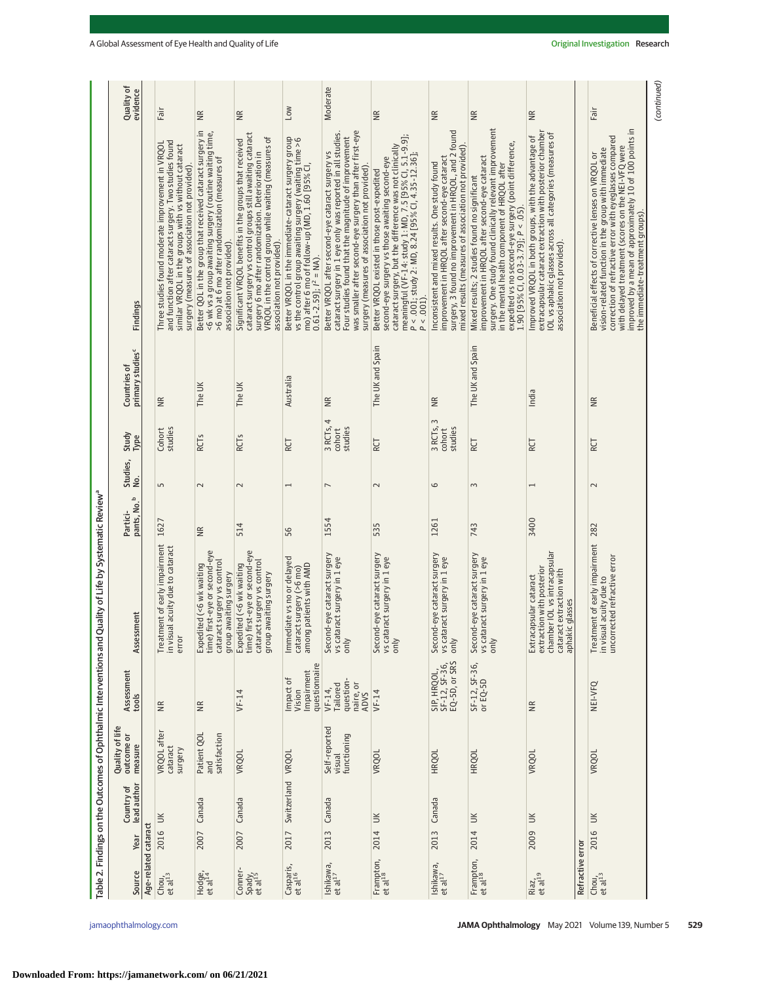| Quality of<br>evidence                       |                      | Fair                                                                                                                                                                                                                  | $\widetilde{\Xi}$                                                                                                                                                                                      | Ξ                                                                                                                                                                                                                                                                 | <b>NOT</b>                                                                                                                                                                                         | Moderate                                                                                                                                                                                                                                                                                | $\widetilde{\Xi}$                                                                                                                                                                                                                                                                         | $\widetilde{\Xi}$                                                                                                                                                                                                  | $\widetilde{\Xi}$                                                                                                                                                                                                                                                                                             | $\widetilde{\Xi}$                                                                                                                                                                                           |                  | Fair                                                                                                                                                                                                                                                                                                                       |
|----------------------------------------------|----------------------|-----------------------------------------------------------------------------------------------------------------------------------------------------------------------------------------------------------------------|--------------------------------------------------------------------------------------------------------------------------------------------------------------------------------------------------------|-------------------------------------------------------------------------------------------------------------------------------------------------------------------------------------------------------------------------------------------------------------------|----------------------------------------------------------------------------------------------------------------------------------------------------------------------------------------------------|-----------------------------------------------------------------------------------------------------------------------------------------------------------------------------------------------------------------------------------------------------------------------------------------|-------------------------------------------------------------------------------------------------------------------------------------------------------------------------------------------------------------------------------------------------------------------------------------------|--------------------------------------------------------------------------------------------------------------------------------------------------------------------------------------------------------------------|---------------------------------------------------------------------------------------------------------------------------------------------------------------------------------------------------------------------------------------------------------------------------------------------------------------|-------------------------------------------------------------------------------------------------------------------------------------------------------------------------------------------------------------|------------------|----------------------------------------------------------------------------------------------------------------------------------------------------------------------------------------------------------------------------------------------------------------------------------------------------------------------------|
| Findings                                     |                      | and function after cataract surgery. Two studies found<br>Three studies found moderate improvement in VRQOL<br>similar VRQOL in the groups with vs without cataract<br>surgery (measures of association not provided) | Better QOL in the group that received cataract surgery in<br><6 wk vs a group awaiting surgery (routine waiting time,<br>>6 mo) at 6 mo after randomization (measures of<br>association not provided). | cataract surgery vs control groups still awaiting cataract<br>surgery 6 mo after randomization. Deterioration in<br>VRQOL in the control group while waiting (measures of<br>Significant VRQOL benefits in the groups that received<br>association not provided). | Better VRQOL in the immediate-cataract surgery group<br>vs the control group awaiting surgery (waiting time >6<br>mo) after 6 mo of follow-up (MD, 1.60 [95% Cl,<br>$0.61 - 2.59$ ]; $l^2 = NA$ ). | was smaller after second-eye surgery than after first-eye<br>cataract surgery in 1 eye only was reported in all studies.<br>Four studies found that the magnitude of improvement<br>Better VRQOL after second-eye cataract surgery vs<br>surgery (measures of association not provided) | meaningful (VF-14: study 1: MD, 7.5 [95% Cl, 5.1-9.9];<br>cataract surgery, but the difference was not clinically<br>P < .001; study 2: MD, 8.24 [95% CI, 4.35-12.36];<br>second-eye surgery vs those awaiting second-eye<br>Better VRQOL existed in those post-expedited<br>$P < .001$ ) | surgery, 3 found no improvement in HRQOL, and 2 found<br>mixed results (measures of association not provided)<br>improvement in HRQOL after second-eye cataract<br>Inconsistent and mixed results. One study found | surgery. One study found clinically relevant improvement<br>expedited vs no second-eye surgery (point difference,<br>improvement in HRQOL after second-eye cataract<br>in the mental health component of HRQOL after<br>Mixed results; 2 studies found no significant<br>$1.90$ [95% CI, 0.03-3.79]; P < .05) | extracapsular cataract extraction with posterior chamber<br>IOL vs aphakic glasses across all categories (measures of<br>Improved VRQOL in both groups, with the advantage of<br>association not provided). |                  | improved by a mean of approximately 10 of 100 points in<br>correction of refractive error with eyeglasses compared<br>with delayed treatment (scores on the NEI-VFQ were<br>vision-related function in the group with immediate<br>Beneficial effects of corrective lenses on VRQOL or<br>the immediate-treatment groups). |
| primary studies <sup>c</sup><br>Countries of |                      | $\widetilde{\Xi}$                                                                                                                                                                                                     | The UK                                                                                                                                                                                                 | The UK                                                                                                                                                                                                                                                            | Australia                                                                                                                                                                                          | $\cong$                                                                                                                                                                                                                                                                                 | The UK and Spain                                                                                                                                                                                                                                                                          | $\widetilde{\equiv}$                                                                                                                                                                                               | The UK and Spain                                                                                                                                                                                                                                                                                              | India                                                                                                                                                                                                       |                  | $\widetilde{B}$                                                                                                                                                                                                                                                                                                            |
| Study<br>Type                                |                      | studies<br>Cohort                                                                                                                                                                                                     | <b>RCTs</b>                                                                                                                                                                                            | <b>RCTs</b>                                                                                                                                                                                                                                                       | RCT                                                                                                                                                                                                | 3 RCTs, 4<br>studies<br>cohort                                                                                                                                                                                                                                                          | RCT                                                                                                                                                                                                                                                                                       | 3<br>3 RCTs,<br>studies<br>cohort                                                                                                                                                                                  | RCT                                                                                                                                                                                                                                                                                                           | RCT                                                                                                                                                                                                         |                  | RCT                                                                                                                                                                                                                                                                                                                        |
| Studies,<br>έ.                               |                      | S                                                                                                                                                                                                                     | $\sim$                                                                                                                                                                                                 | $\sim$                                                                                                                                                                                                                                                            | $\overline{ }$                                                                                                                                                                                     | $\overline{ }$                                                                                                                                                                                                                                                                          | $\sim$                                                                                                                                                                                                                                                                                    | 6                                                                                                                                                                                                                  | 3                                                                                                                                                                                                                                                                                                             | $\overline{ }$                                                                                                                                                                                              |                  | $\sim$                                                                                                                                                                                                                                                                                                                     |
| pants, No. <sup>b</sup><br>Partici-          |                      | 1627                                                                                                                                                                                                                  | $\frac{\alpha}{\beta}$                                                                                                                                                                                 | 514                                                                                                                                                                                                                                                               | 56                                                                                                                                                                                                 | 1554                                                                                                                                                                                                                                                                                    | 535                                                                                                                                                                                                                                                                                       | 1261                                                                                                                                                                                                               | 743                                                                                                                                                                                                                                                                                                           | 3400                                                                                                                                                                                                        |                  |                                                                                                                                                                                                                                                                                                                            |
| assment<br>Asse                              |                      | Treatment of early impairment<br>in visual acuity due to cataract<br>error                                                                                                                                            | Expedited (<6 wk waiting<br>time) first-eye or second-eye<br>cataract surgery vs control<br>group awaiting surgery                                                                                     | Expedited (<6 wk waiting<br>time) first-eye or second-eye<br>cataract surgery vs control<br>group awaiting surgery                                                                                                                                                | Immediate vs no or delayed<br>cataract surgery (>6 mo)<br>among patients with AMD                                                                                                                  | Second-eye cataract surgery<br>vs cataract surgery in 1 eye<br>only                                                                                                                                                                                                                     | Second-eye cataract surgery<br>vs cataract surgery in 1 eye<br>only                                                                                                                                                                                                                       | Second-eye cataract surgery<br>vs cataract surgery in 1 eye<br>only                                                                                                                                                | Second-eye cataract surgery<br>vs cataract surgery in 1 eye<br>$\sin y$                                                                                                                                                                                                                                       | chamber IOL vs intracapsular<br>extraction with posterior<br>cataract extraction with<br>Extracapsular cataract<br>aphakic glasses                                                                          |                  | Treatment of early impairment 282<br>in visual acuity due to<br>uncorrected refractive error                                                                                                                                                                                                                               |
| Assessment<br>tools                          |                      | $\widetilde{\Xi}$                                                                                                                                                                                                     | $\widetilde{\Xi}$                                                                                                                                                                                      | $VF-14$                                                                                                                                                                                                                                                           | questionnaire<br>Impairment<br>mpact of<br>Vision                                                                                                                                                  | question-<br>naire, or<br>ADVS<br>Tailored<br>VF-14,                                                                                                                                                                                                                                    | $VF-14$                                                                                                                                                                                                                                                                                   | SIP, HRQOL,<br>SF-12, SF-36,<br>EQ-5D, or SRS                                                                                                                                                                      | SF-12, SF-36,<br>or EQ-5D                                                                                                                                                                                                                                                                                     | $\widetilde{\Xi}$                                                                                                                                                                                           |                  | NEI-VFQ                                                                                                                                                                                                                                                                                                                    |
| Quality of lif<br>outcome or<br>measure      |                      | VRQOL after<br>cataract<br>surgery                                                                                                                                                                                    | Patient QOL<br>and<br>satisfaction                                                                                                                                                                     | VRQOL                                                                                                                                                                                                                                                             | VRQOL                                                                                                                                                                                              | Self-reported<br>functioning<br>visual                                                                                                                                                                                                                                                  | VRQOL                                                                                                                                                                                                                                                                                     | <b>HRQOL</b>                                                                                                                                                                                                       | <b>HRQOL</b>                                                                                                                                                                                                                                                                                                  | VRQOL                                                                                                                                                                                                       |                  | <b>VRQOL</b>                                                                                                                                                                                                                                                                                                               |
| lead author<br>Country of                    |                      |                                                                                                                                                                                                                       | Canada                                                                                                                                                                                                 | Canada                                                                                                                                                                                                                                                            | Switzerland                                                                                                                                                                                        | Canada                                                                                                                                                                                                                                                                                  | $\leq$                                                                                                                                                                                                                                                                                    | Canada                                                                                                                                                                                                             | $\leq$                                                                                                                                                                                                                                                                                                        | š                                                                                                                                                                                                           |                  | $\leq$                                                                                                                                                                                                                                                                                                                     |
| Year                                         |                      | $\leq$<br>2016                                                                                                                                                                                                        | 2007                                                                                                                                                                                                   | 2007                                                                                                                                                                                                                                                              | 2017                                                                                                                                                                                               | 2013                                                                                                                                                                                                                                                                                    | 2014                                                                                                                                                                                                                                                                                      | 2013                                                                                                                                                                                                               | 2014                                                                                                                                                                                                                                                                                                          | 2009                                                                                                                                                                                                        |                  | 2016                                                                                                                                                                                                                                                                                                                       |
| Source                                       | Age-related cataract | Chou,<br>et al <sup>13</sup>                                                                                                                                                                                          | Hodge,<br>et al <sup>14</sup>                                                                                                                                                                          | Conner-<br>Spady,<br>et al <sup>15</sup>                                                                                                                                                                                                                          | Casparis,<br>et al <sup>16</sup>                                                                                                                                                                   | Ishikawa,<br>et al <sup>17</sup>                                                                                                                                                                                                                                                        | Frampton,<br>et al <sup>18</sup>                                                                                                                                                                                                                                                          | Ishikawa,<br>et al <sup>17</sup>                                                                                                                                                                                   | Frampton,<br>et al <sup>18</sup>                                                                                                                                                                                                                                                                              | Riaz,<br>et al <sup>19</sup>                                                                                                                                                                                | Refractive error | Chou, et al $^{13}$                                                                                                                                                                                                                                                                                                        |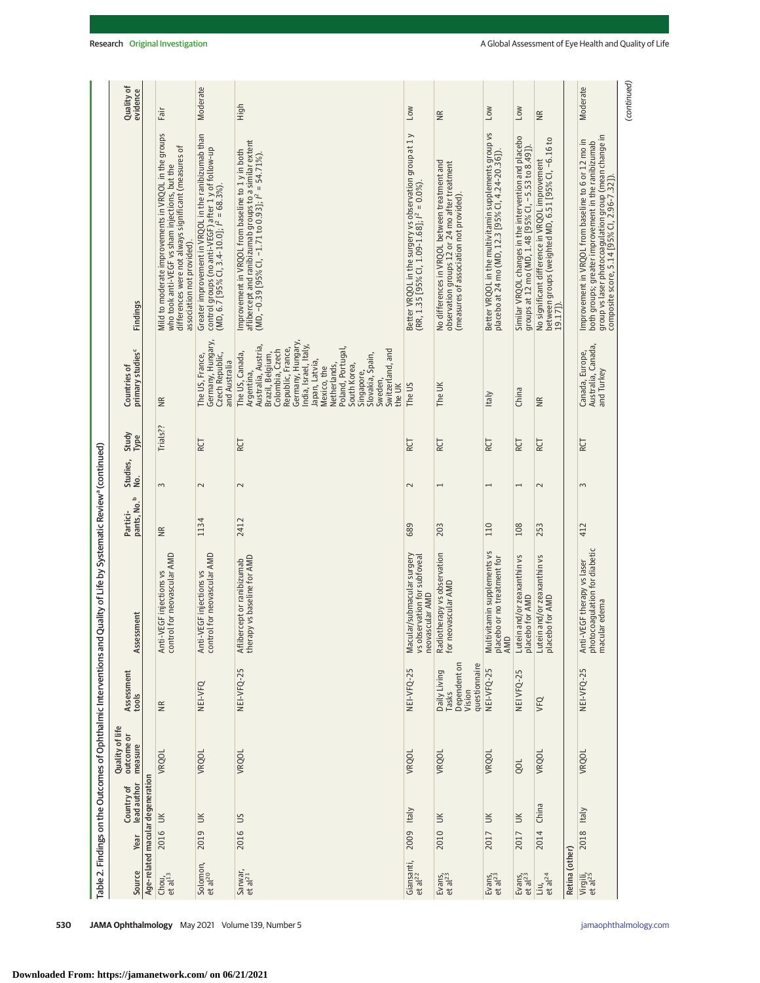|                                                                   | Quality of<br>evidence                       |                                  | Fair                                                                                                                                                                                        | Moderate                                                                 | High                                                                                                                                                                                                                                                                                                                          | <b>NO7</b>                                                                                            | $\widetilde{\equiv}$                                                                                                                       | No7                                                                                                        | <b>No7</b>                                                                                                   | $\widetilde{\Xi}$                                                                                                 |                | Moderate                                                                                                                                                                                                           | (continued) |
|-------------------------------------------------------------------|----------------------------------------------|----------------------------------|---------------------------------------------------------------------------------------------------------------------------------------------------------------------------------------------|--------------------------------------------------------------------------|-------------------------------------------------------------------------------------------------------------------------------------------------------------------------------------------------------------------------------------------------------------------------------------------------------------------------------|-------------------------------------------------------------------------------------------------------|--------------------------------------------------------------------------------------------------------------------------------------------|------------------------------------------------------------------------------------------------------------|--------------------------------------------------------------------------------------------------------------|-------------------------------------------------------------------------------------------------------------------|----------------|--------------------------------------------------------------------------------------------------------------------------------------------------------------------------------------------------------------------|-------------|
|                                                                   | Findings                                     |                                  | Mild to moderate improvements in VRQOL in the groups<br>differences were not always significant (measures of<br>who took anti-VEGF vs sham injections, but the<br>association not provided) | Greater improvement in VRQOL in the ranibizumab than                     | aflibercept and ranibizumab groups to a similar extent<br>(MD, –0.39 [95% Cl, –1.71 to 0.93]; I <sup>2</sup> = 54.71%).<br>mprovement in VRQOL from baseline to 1 y in both                                                                                                                                                   | Better VRQOL in the surgery vs observation group at 1 y<br>(RR, 1.35 [95% Cl, 1.09-1.68]; /² = 0.0%). | No differences in VRQOL between treatment and<br>observation groups 12 or 24 mo after treatment<br>(measures of association not provided). | Better VRQOL in the multivitamin supplements group vs<br>placebo at 24 mo (MD, 12.3 [95% CI, 4.24-20.36]). | Similar VRQOL changes in the intervention and placebo<br>groups at 12 mo (MD, 1.48 [95% CI, –5.53 to 8.49]). | No significant difference in VRQOL improvement<br>between groups (weighted MD, 6.51 [95% CI, –6.16 to<br>19.17]). |                | group vs laser photocoagulation group (mean change in<br>composite score, 5.14 [95% C1, 2.96-7.32]).<br>Improvement in VRQOL from baseline to 6 or 12 mo in<br>both groups; greater improvement in the ranibizumab |             |
|                                                                   | Countries of<br>primary studies <sup>c</sup> |                                  | $\widetilde{B}$                                                                                                                                                                             | Germany, Hungary,<br>Czech Republic,<br>The US, France,<br>and Australia | Germany, Hungary,<br>India, Israel, Italy,<br>Australia, Austria,<br>Colombia, Czech<br>Republic, France,<br>Poland, Portugal<br>Switzerland, and<br>The US, Canada,<br>Brazil, Belgium,<br>Slovakia, Spain,<br>Japan, Latvia,<br>Netherlands,<br>South Korea,<br>Mexico, the<br>Argentina,<br>Singapore,<br>Sweden<br>the UK | The US                                                                                                | The UK                                                                                                                                     | <b>Italy</b>                                                                                               | China                                                                                                        | ₩                                                                                                                 |                | Australia, Canada,<br>Canada, Europe,<br>and Turkey                                                                                                                                                                |             |
|                                                                   | Study<br>Type                                |                                  | Trials??                                                                                                                                                                                    | RCT                                                                      | RCT                                                                                                                                                                                                                                                                                                                           | RCT                                                                                                   | <b>RCT</b>                                                                                                                                 | RCT                                                                                                        | RCT                                                                                                          | <b>RCT</b>                                                                                                        |                | RCT                                                                                                                                                                                                                |             |
|                                                                   | Studies,<br>No.                              |                                  | 3                                                                                                                                                                                           | $\sim$                                                                   | $\sim$                                                                                                                                                                                                                                                                                                                        | $\sim$                                                                                                |                                                                                                                                            |                                                                                                            | $\overline{ }$                                                                                               | $\sim$                                                                                                            |                | 3                                                                                                                                                                                                                  |             |
|                                                                   | Partici-<br>pants, No. <sup>b</sup>          |                                  | $\frac{R}{R}$                                                                                                                                                                               | 1134                                                                     | 2412                                                                                                                                                                                                                                                                                                                          | 689                                                                                                   | 203                                                                                                                                        | 110                                                                                                        | 108                                                                                                          | 253                                                                                                               |                | 412                                                                                                                                                                                                                |             |
| I Quality of Life by Systematic Review <sup>a</sup> (continued)   | Assessment                                   |                                  | Anti-VEGF injections vs<br>control for neovascular AMD                                                                                                                                      | Anti-VEGF injections vs<br>control for neovascular AMD                   | therapy vs baseline for AMD<br>Aflibercept or ranibizumab                                                                                                                                                                                                                                                                     | Macular/submacular surgery<br>vs observation for subfoveal<br>neovascular AMD                         | Radiotherapy vs observation<br>for neovascular AMD                                                                                         | Multivitamin supplements vs<br>placebo or no treatment for<br>AMD                                          | Lutein and/or zeaxanthin vs<br>placebo for AMD                                                               | Lutein and/or zeaxanthin vs<br>placebo for AMD                                                                    |                | photocoagulation for diabetic<br>macular edema<br>Anti-VEGF therapy vs laser                                                                                                                                       |             |
|                                                                   | Assessment<br>tools                          |                                  | $\frac{R}{R}$                                                                                                                                                                               | NEI-VFQ                                                                  | NEI-VFQ-25                                                                                                                                                                                                                                                                                                                    | NEI-VFQ-25                                                                                            | Dependent on<br>Vision<br>questionnaire<br>Daily Living<br>Tasks                                                                           | NEI-VFQ-25                                                                                                 | 5<br>NEI VFQ-2                                                                                               | VFQ                                                                                                               |                | NEI-VFQ-25                                                                                                                                                                                                         |             |
| Table 2. Findings on the Outcomes of Ophthalmic Interventions and | Quality of life<br>outcome or<br>measure     |                                  | VRQOL                                                                                                                                                                                       | VRQOL                                                                    | <b>VRQOL</b>                                                                                                                                                                                                                                                                                                                  | <b>VRQOL</b>                                                                                          | <b>VRQOL</b>                                                                                                                               | VRQOL                                                                                                      | QOL                                                                                                          | VRQOL                                                                                                             |                | <b>VRQOL</b>                                                                                                                                                                                                       |             |
|                                                                   | lead author<br>Country of                    | Age-related macular degeneration |                                                                                                                                                                                             | $\leq$                                                                   | $\frac{5}{2}$                                                                                                                                                                                                                                                                                                                 | <b>Italy</b>                                                                                          | $\leq$                                                                                                                                     | $\leq$                                                                                                     | $\leq$                                                                                                       | China                                                                                                             |                | <b>Italy</b>                                                                                                                                                                                                       |             |
|                                                                   | Year                                         |                                  | 2016 UK                                                                                                                                                                                     | 2019                                                                     | 2016                                                                                                                                                                                                                                                                                                                          | 2009                                                                                                  | 2010                                                                                                                                       | 2017                                                                                                       | 2017                                                                                                         | 2014                                                                                                              |                | 2018                                                                                                                                                                                                               |             |
|                                                                   | Source                                       |                                  | Chou, et al $^{13}$                                                                                                                                                                         | Solomon,<br>et al <sup>20</sup>                                          | Sarwar,<br>et al <sup>21</sup>                                                                                                                                                                                                                                                                                                | Giansanti,<br>et al <sup>22</sup>                                                                     | Evans,<br>et al <sup>23</sup>                                                                                                              | $Evars$ ,<br>et al <sup>23</sup>                                                                           | Evans,<br>et al <sup>23</sup>                                                                                | Liu,<br>et al <sup>24</sup>                                                                                       | Retina (other) | Virgili,<br>et al <sup>25</sup>                                                                                                                                                                                    |             |

**530 JAMA Ophthalmology** May 2021 Volume 139, Number 5 **(Reprinted)** and proportional interview of the state of the state of the state of the state of the state of the state of the state of the state of the state of the st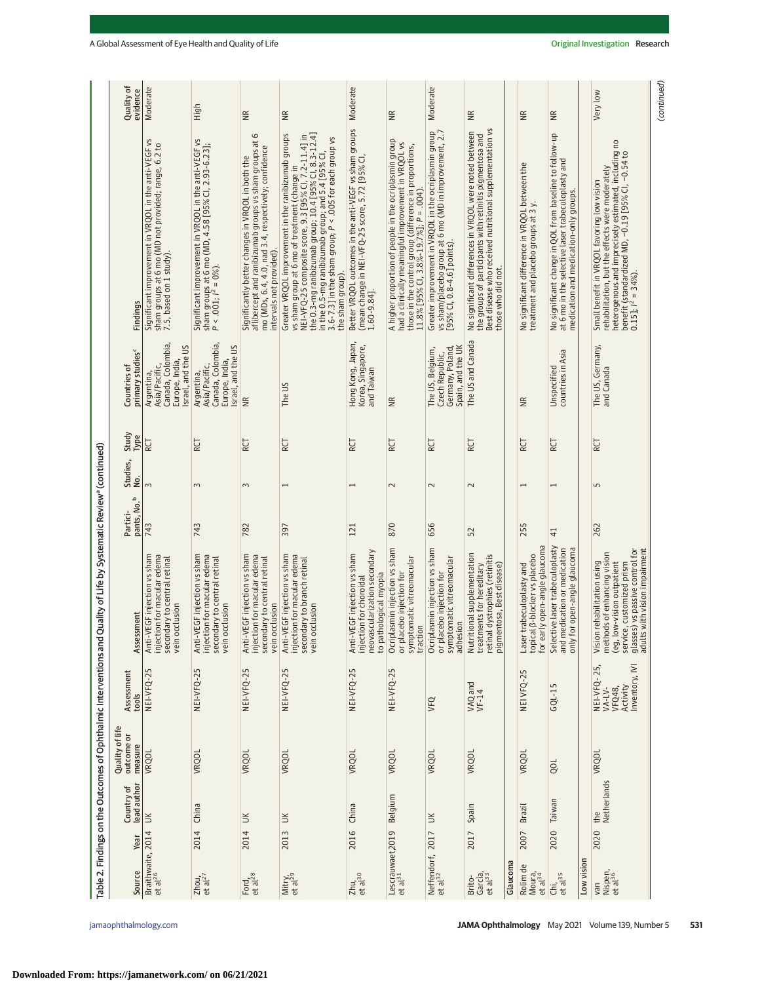|                                                                   | Quality of<br>evidence                       | Moderate                                                                                                                               | High                                                                                                                                          | $\widetilde{\Xi}$                                                                                                                                                                               | Ξ                                                                                                                                                                                                                                                                                                                                                            | Moderate                                                                                                                    | Ξ                                                                                                                                                                                                                   | Moderate                                                                                                                                        | Ξ                                                                                                                                                                                                    |          | $\widetilde{\Xi}$                                                                          | $\widetilde{\equiv}$                                                                                                                                    |            | Very low                                                                                                                                                                                                                               |
|-------------------------------------------------------------------|----------------------------------------------|----------------------------------------------------------------------------------------------------------------------------------------|-----------------------------------------------------------------------------------------------------------------------------------------------|-------------------------------------------------------------------------------------------------------------------------------------------------------------------------------------------------|--------------------------------------------------------------------------------------------------------------------------------------------------------------------------------------------------------------------------------------------------------------------------------------------------------------------------------------------------------------|-----------------------------------------------------------------------------------------------------------------------------|---------------------------------------------------------------------------------------------------------------------------------------------------------------------------------------------------------------------|-------------------------------------------------------------------------------------------------------------------------------------------------|------------------------------------------------------------------------------------------------------------------------------------------------------------------------------------------------------|----------|--------------------------------------------------------------------------------------------|---------------------------------------------------------------------------------------------------------------------------------------------------------|------------|----------------------------------------------------------------------------------------------------------------------------------------------------------------------------------------------------------------------------------------|
|                                                                   | Findings                                     | Significant improvement in VRQOL in the anti-VEGF vs<br>sham groups at 6 mo (MD not provided; range, 6.2 to<br>7.5, based on 1 study). | Significant improvement in VRQOL in the anti-VEGF vs<br>sham groups at 6 mo (MD, 4.58 [95% CI, 2.93-6.23];<br>P < .001;   <sup>2</sup> = 0%). | aflibercept and ranibizumab groups vs sham groups at 6<br>mo (MDs, 6.4, 4.0, nad 3.4, respectively; confidence<br>Significantly better changes in VRQOL in both the<br>intervals not provided). | the 0.3-mg ranibizumab group; 10.4 [95% Cl, 8.3-12.4]<br>Greater VRQOL improvement in the ranibizumab groups<br>vs sham group at 6 mo of treatment (change in<br>NEI-VFQ-25 composite score, 9.3 [95% Cl, 7.2-11.4] in<br>3.6-7.3] in the sham group; $P < 0.005$ for each group vs<br>in the 0.5-mg ranibizumab group; and 5.4 [95% CI,<br>the sham group). | Better VRQOL outcomes in the anti-VEGF vs sham groups<br>(mean change in NEI-VFQ-25 score, 5.72 [95% CI<br>$1.60 - 9.84$ ]. | A higher proportion of people in the ocriplasmin group<br>had a clinically meaningful improvement in VRQOL vs<br>those in the control group (difference in proportions,<br>$11.8\%$ [95% CI, 3.8%-19.7%]; P = .004) | Greater improvement in VRQOL in the ocriplasmin group<br>vs sham/placebo group at 6 mo (MD in improvement, 2.7<br>[95% CI, $0.8-4.6$ ] points). | Best disease who received nutritional supplementation vs<br>No significant differences in VRQOL were noted between<br>the groups of participants with retinitis pigmentosa and<br>those who did not. |          | No significant difference in VRQOL between the<br>treatment and placebo groups at 3 y.     | No significant change in QOL from baseline to follow-up<br>at 6 mo in the selective laser trabeculoplasty and<br>medication and medication-only groups. |            | heterogenous and imprecisely estimated, including no<br>benefit (standardized MD, -0.19 [95% Cl, -0.54 to<br>rehabilitation, but the effects were moderately<br>Small benefit in VRQOL favoring low vision<br>$0.15$ ]; $l^2 = 34\%$ . |
|                                                                   | primary studies <sup>c</sup><br>Countries of | Canada, Colombia,<br>Israel, and the US<br>Europe, India,<br>Asia/Pacific,<br>Argentina,                                               | Canada, Colombia,<br>Israel, and the US<br>Europe, India,<br>Asia/Pacific,<br>Argentina,                                                      | $\widetilde{\Xi}$                                                                                                                                                                               | The US                                                                                                                                                                                                                                                                                                                                                       | Hong Kong, Japan,<br>Korea, Singapore,<br>and Taiwan                                                                        | ΨŘ                                                                                                                                                                                                                  | Spain, and the UK<br>The US, Belgium,<br>Germany, Poland,<br>Czech Republic,                                                                    | The US and Canada                                                                                                                                                                                    |          | $\widetilde{\Xi}$                                                                          | countries in Asia<br>Unspecified                                                                                                                        |            | The US, Germany,<br>and Canada                                                                                                                                                                                                         |
|                                                                   | Study<br>Type                                | RCT                                                                                                                                    | RCT                                                                                                                                           | RCT                                                                                                                                                                                             | RCT                                                                                                                                                                                                                                                                                                                                                          | RCT                                                                                                                         | RCT                                                                                                                                                                                                                 | RCT                                                                                                                                             | RCT                                                                                                                                                                                                  |          | RCT                                                                                        | RCT                                                                                                                                                     |            | <b>RCT</b>                                                                                                                                                                                                                             |
|                                                                   | Studies,<br>No.                              | $\sim$                                                                                                                                 | 3                                                                                                                                             | $\sim$                                                                                                                                                                                          | $\overline{ }$                                                                                                                                                                                                                                                                                                                                               | $\overline{ }$                                                                                                              | $\sim$                                                                                                                                                                                                              | $\sim$                                                                                                                                          | $\sim$                                                                                                                                                                                               |          | $\overline{ }$                                                                             |                                                                                                                                                         |            | LN                                                                                                                                                                                                                                     |
|                                                                   | pants, No. <sup>b</sup><br>Partici-          | 743                                                                                                                                    | 743                                                                                                                                           | 782                                                                                                                                                                                             | 397                                                                                                                                                                                                                                                                                                                                                          | 121                                                                                                                         | 870                                                                                                                                                                                                                 | 656                                                                                                                                             | 52                                                                                                                                                                                                   |          | 255                                                                                        | $\overline{4}$                                                                                                                                          |            | 262                                                                                                                                                                                                                                    |
| Quality of Life by Systematic Review <sup>a</sup> (continued)     | Assessment                                   | Anti-VEGF injection vs sham<br>injection for macular edema<br>secondary to central retinal<br>occlusion<br>vein                        | Anti-VEGF injection vs sham<br>injection for macular edema<br>secondary to central retinal<br>occlusion<br>vein                               | Anti-VEGF injection vs sham<br>injection for macular edema<br>secondary to central retinal<br>vein occlusion                                                                                    | Anti-VEGF injection vs sham<br>injection for macular edema<br>secondary to branch retinal<br>occlusion<br>vein                                                                                                                                                                                                                                               | neovascularization secondary<br>Anti-VEGF injection vs sham<br>to pathological myopia<br>injection for choroidal            | Ocriplasmin injection vs sham<br>or placebo injection for<br>symptomatic vitreomacular<br>traction                                                                                                                  | Ocriplasmin injection vs sham<br>symptomatic vitreomacular<br>adhesion<br>or placebo injection for                                              | Nutritional supplementation<br>retinal dystrophies (retinitis<br>pigmentosa, Best disease)<br>treatments for hereditary                                                                              |          | for early open-angle glaucoma<br>Laser trabeculoplasty and<br>topical β-blocker vs placebo | Selective laser trabeculoplasty<br>medication or medication<br>for open-angle glaucoma<br>only<br>and                                                   |            | glasses) vs passive control for<br>adults with vision impairment<br>methods of enhancing vision<br>Vision rehabilitation using<br>(eg, low-vision outpatient<br>service, customized prism                                              |
|                                                                   | Assessment<br>tools                          | NEI-VFQ-25                                                                                                                             | NEI-VFQ-25                                                                                                                                    | NEI-VFQ-25                                                                                                                                                                                      | NEI-VFQ-25                                                                                                                                                                                                                                                                                                                                                   | NEI-VFQ-25                                                                                                                  | NEI-VFQ-25                                                                                                                                                                                                          | VFQ                                                                                                                                             | VAQ and<br>VF-14                                                                                                                                                                                     |          | NEI VFQ-25                                                                                 | $GQL - 15$                                                                                                                                              |            | nventory, IVI<br>25,<br>NEI-VFQ-<br>Activity<br>VFQ48,<br>$VA-LV-$                                                                                                                                                                     |
| Table 2. Findings on the Outcomes of Ophthalmic Interventions and | Quality of life<br>outcome or<br>measure     | <b>VRQOL</b>                                                                                                                           | <b>VRQOL</b>                                                                                                                                  | VRQOL                                                                                                                                                                                           | VRQOL                                                                                                                                                                                                                                                                                                                                                        | VRQOL                                                                                                                       | <b>VRQOL</b>                                                                                                                                                                                                        | VRQOL                                                                                                                                           | VRQOL                                                                                                                                                                                                |          | VRQOL                                                                                      | gol                                                                                                                                                     |            | <b>VRQOL</b>                                                                                                                                                                                                                           |
|                                                                   | lead author<br>Country of                    |                                                                                                                                        | China                                                                                                                                         | $\leq$                                                                                                                                                                                          | $\leq$                                                                                                                                                                                                                                                                                                                                                       | China                                                                                                                       | Belgium                                                                                                                                                                                                             | š                                                                                                                                               | Spain                                                                                                                                                                                                |          | Brazil                                                                                     | Taiwan                                                                                                                                                  |            | Netherlands<br>the                                                                                                                                                                                                                     |
|                                                                   | Year                                         |                                                                                                                                        | 2014                                                                                                                                          | 2014                                                                                                                                                                                            | 2013                                                                                                                                                                                                                                                                                                                                                         | 2016                                                                                                                        |                                                                                                                                                                                                                     |                                                                                                                                                 | 2017                                                                                                                                                                                                 |          | 2007                                                                                       | 2020                                                                                                                                                    |            | 2020                                                                                                                                                                                                                                   |
|                                                                   | Source                                       | Braithwaite, 2014 UK<br>et al <sup>26</sup>                                                                                            | $Z$ hou <sub>r</sub><br>et al <sup>27</sup>                                                                                                   | Ford,<br>et al <sup>28</sup>                                                                                                                                                                    | Mitry,<br>et al <sup>29</sup>                                                                                                                                                                                                                                                                                                                                | $Zhu$ <sub>7</sub> 30                                                                                                       | Lescrauwaet,2019<br>et al <sup>31</sup>                                                                                                                                                                             | Neffendorf, 2017<br>et al <sup>32</sup>                                                                                                         | García,<br>et al <sup>33</sup><br>Brito-                                                                                                                                                             | Glaucoma | Rolim de<br>Moura,<br>et al <sup>34</sup>                                                  | Chi,<br>et al <sup>35</sup>                                                                                                                             | Low vision | Nispen,<br>et al <sup>36</sup><br>van                                                                                                                                                                                                  |

**Downloaded From: https://jamanetwork.com/ on 06/21/2021**

(continued) (continued)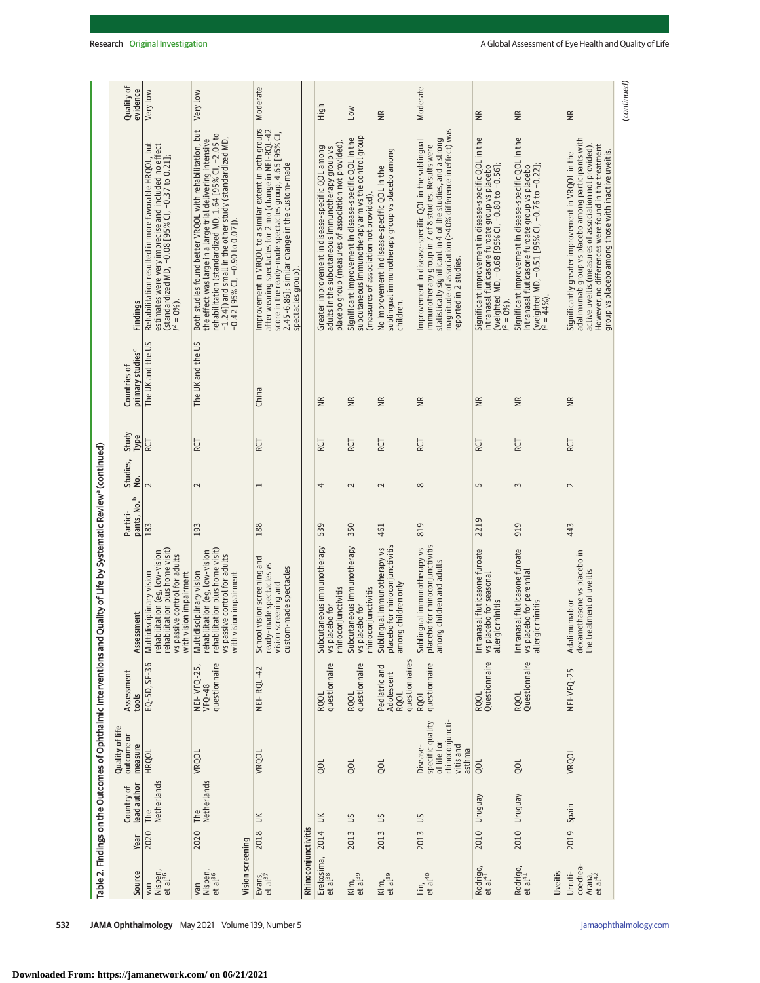|                                                                   | Quality of<br>evidence                       | Very low                                                                                                                                                                                  | Very low                                                                                                                                                                                                                                                                           |                  | Moderate                                                                                                                                                                                                                                            |                     | High                                                                                                                                                           | <b>NOT</b>                                                                                                                                               | $\widetilde{\Xi}$                                                                                             | Moderate                                                                                                                                                                                                                                                          | $\widetilde{B}$                                                                                                                                                              | $\widetilde{\Xi}$                                                                                                                                                                    |         | ΨŘ                                                                                                                                                                                                                                                                               | (continued) |
|-------------------------------------------------------------------|----------------------------------------------|-------------------------------------------------------------------------------------------------------------------------------------------------------------------------------------------|------------------------------------------------------------------------------------------------------------------------------------------------------------------------------------------------------------------------------------------------------------------------------------|------------------|-----------------------------------------------------------------------------------------------------------------------------------------------------------------------------------------------------------------------------------------------------|---------------------|----------------------------------------------------------------------------------------------------------------------------------------------------------------|----------------------------------------------------------------------------------------------------------------------------------------------------------|---------------------------------------------------------------------------------------------------------------|-------------------------------------------------------------------------------------------------------------------------------------------------------------------------------------------------------------------------------------------------------------------|------------------------------------------------------------------------------------------------------------------------------------------------------------------------------|--------------------------------------------------------------------------------------------------------------------------------------------------------------------------------------|---------|----------------------------------------------------------------------------------------------------------------------------------------------------------------------------------------------------------------------------------------------------------------------------------|-------------|
|                                                                   | Findings                                     | estimates were very imprecise and included no effect<br>(standardized MD, -0.08 [95% Cl, -0.37 to 0.21];<br>  <sup>2</sup> = 0%).<br>Rehabilitation resulted in more favorable HRQOL, but | Both studies found better VRQOL with rehabilitation, but<br>rehabilitation (standardized MD, 1.64 [95% CI, -2.05 to<br>the effect was large in a large trial delivering intensive<br>-1.24]) and small in the other study (standardized MD,<br>$-0.42$ [95% CI, $-0.90$ to 0.07]). |                  | Improvement in VRQOL to a similar extent in both groups<br>after wearing spectacles for 2 mo (change in NEI-RQL-42<br>score in the ready-made spectacles group, 4.65 [95% CI,<br>2.45-6.86]; similar change in the custom-made<br>spectacles group) |                     | placebo group (measures of association not provided)<br>Greater improvement in disease-specific QOL among<br>adults in the subcutaneous immunotherapy group vs | subcutaneous immunotherapy arm vs the control group<br>Significant improvement in disease-specific QOL in the<br>(measures of association not provided). | sublingual immunotherapy group vs placebo among<br>No improvement in disease-specific QOL in the<br>children. | magnitude of association (>40% difference in effect) was<br>statistically significant in 4 of the studies, and a strong<br>Improvement in disease-specific QOL in the sublingual<br>immunotherapy group in 7 of 8 studies. Results were<br>reported in 2 studies. | Significant improvement in disease-specific QOL in the<br>(weighted MD, -0.68 [95% CI, -0.80 to -0.56];<br>intranasal fluticasone furoate group vs placebo<br>$i^2 = 0\%$ ). | Significant improvement in disease-specific QOL in the<br>(weighted MD, -0.51 [95% CI, -0.76 to -0.22];<br>  <sup>2</sup> = 44%).<br>intranasal fluticasone furoate group vs placebo |         | adalimumab group vs placebo among participants with<br>active uveitis (measures of association not provided).<br>However, no differences were found in the treatment<br>group vs placebo among those with inactive uveitis.<br>Significantly greater improvement in VRQOL in the |             |
|                                                                   | primary studies <sup>c</sup><br>Countries of | The UK and the US                                                                                                                                                                         | The UK and the US                                                                                                                                                                                                                                                                  |                  | China                                                                                                                                                                                                                                               |                     | $\widetilde{\equiv}$                                                                                                                                           | $\widetilde{\Xi}$                                                                                                                                        | $\widetilde{\Xi}$                                                                                             | $\widetilde{\equiv}$                                                                                                                                                                                                                                              | $\widetilde{\Xi}$                                                                                                                                                            | ΨŘ                                                                                                                                                                                   |         | ΨŘ                                                                                                                                                                                                                                                                               |             |
|                                                                   | Study<br>Type                                | RCT                                                                                                                                                                                       | RCT                                                                                                                                                                                                                                                                                |                  | RCT                                                                                                                                                                                                                                                 |                     | RCT                                                                                                                                                            | RCT                                                                                                                                                      | RCT                                                                                                           | RCT                                                                                                                                                                                                                                                               | RCT                                                                                                                                                                          | RCT                                                                                                                                                                                  |         | RCT                                                                                                                                                                                                                                                                              |             |
|                                                                   | Studies,<br>غ.                               | $\sim$                                                                                                                                                                                    | $\sim$                                                                                                                                                                                                                                                                             |                  | $\overline{\phantom{0}}$                                                                                                                                                                                                                            |                     | 4                                                                                                                                                              | $\sim$                                                                                                                                                   | $\sim$                                                                                                        | ${}^{\circ}$                                                                                                                                                                                                                                                      | S                                                                                                                                                                            | 3                                                                                                                                                                                    |         | $\sim$                                                                                                                                                                                                                                                                           |             |
|                                                                   | pants, No. <sup>b</sup><br>Partici-          | 183                                                                                                                                                                                       | 193                                                                                                                                                                                                                                                                                |                  | 188                                                                                                                                                                                                                                                 |                     | 539                                                                                                                                                            | 350                                                                                                                                                      | 461                                                                                                           | 819                                                                                                                                                                                                                                                               | 2219                                                                                                                                                                         | 919                                                                                                                                                                                  |         | 443                                                                                                                                                                                                                                                                              |             |
| Quality of Life by Systematic Review <sup>a</sup> (continued)     | Assessment                                   | rehabilitation plus home visit)<br>rehabilitation (eg, low-vision<br>vs passive control for adults<br>with vision impairment<br>Multidisciplinary vision                                  | rehabilitation plus home visit)<br>rehabilitation (eg, low-vision<br>vs passive control for adults<br>with vision impairment<br>Multidisciplinary vision                                                                                                                           |                  | School vision screening and<br>ready-made spectacles vs<br>custom-made spectacles<br>vision screening and                                                                                                                                           |                     | Subcutaneous immunotherapy<br>vs placebo for<br>rhinoconjunctivitis                                                                                            | Subcutaneous immunotherapy<br>vs placebo for<br>rhinoconjunctivitis                                                                                      | placebo for rhinoconjunctivitis<br>among children only<br>Sublingual immunotherapy vs                         | Sublingual immunotherapy vs<br>placebo for rhinoconjunctivitis<br>among children and adults                                                                                                                                                                       | Intranasal fluticasone furoate<br>vs placebo for seasonal<br>allergic rhinitis                                                                                               | Intranasal fluticasone furoate<br>vs placebo for perennial<br>allergic rhinitis                                                                                                      |         | Adalimumab or<br>dexamethasone vs placebo in<br>the treatment of uveitis                                                                                                                                                                                                         |             |
|                                                                   | Assessment<br>tools                          | EQ-5D, SF-36                                                                                                                                                                              | questionnaire<br><b>NEI-VFQ-25,</b><br>$VFQ-48$                                                                                                                                                                                                                                    |                  | NEI-RQL-42                                                                                                                                                                                                                                          |                     | questionnaire<br><b>RQOL</b>                                                                                                                                   | RQOL<br>questionnaire                                                                                                                                    | questionnaires<br>Pediatric and<br>Adolescent<br>RQOL                                                         | RQOL<br>questionnaire                                                                                                                                                                                                                                             | RQOL<br>Questionnaire                                                                                                                                                        | RQOL<br>Questionnaire                                                                                                                                                                |         | NEI-VFQ-25                                                                                                                                                                                                                                                                       |             |
| Table 2. Findings on the Outcomes of Ophthalmic Interventions and | Quality of life<br>outcome or<br>measure     | <b>HRQOL</b>                                                                                                                                                                              | VRQOL                                                                                                                                                                                                                                                                              |                  | VRQOL                                                                                                                                                                                                                                               |                     | go                                                                                                                                                             | gol                                                                                                                                                      | QOL                                                                                                           | specific quality<br>rhinoconjuncti-<br>of life for<br>vitis and<br>Disease-<br>asthma                                                                                                                                                                             | QOL                                                                                                                                                                          | gol                                                                                                                                                                                  |         | VRQOL                                                                                                                                                                                                                                                                            |             |
|                                                                   | lead author<br>Country of                    | Netherlands<br>The                                                                                                                                                                        | Netherlands<br>The                                                                                                                                                                                                                                                                 |                  | $\leq$                                                                                                                                                                                                                                              |                     | $\leq$                                                                                                                                                         | SU                                                                                                                                                       | SU                                                                                                            | SU                                                                                                                                                                                                                                                                | Venbnun                                                                                                                                                                      | Uruguay                                                                                                                                                                              |         | Spain                                                                                                                                                                                                                                                                            |             |
|                                                                   | Year                                         | 2020                                                                                                                                                                                      | 2020                                                                                                                                                                                                                                                                               |                  | 2018                                                                                                                                                                                                                                                |                     | 2014                                                                                                                                                           | 2013                                                                                                                                                     | 2013                                                                                                          | 2013                                                                                                                                                                                                                                                              | 2010                                                                                                                                                                         | 2010                                                                                                                                                                                 |         | 2019                                                                                                                                                                                                                                                                             |             |
|                                                                   | Source                                       | Nispen,<br>et al <sup>36</sup><br>van                                                                                                                                                     | Nispen,<br>et al <sup>36</sup><br>van                                                                                                                                                                                                                                              | Vision screening | $Evars_{1}$<br>et al <sup>37</sup>                                                                                                                                                                                                                  | Rhinoconjunctivitis | Erekosima,<br>et al <sup>38</sup>                                                                                                                              | $\frac{\text{Kim}}{\text{et al}^{39}}$                                                                                                                   | $\frac{\text{Kim}}{\text{et al}^{39}}$                                                                        | $\frac{\text{Lin}_1}{\text{et al}^{40}}$                                                                                                                                                                                                                          | Rodrigo,<br>et al <sup>41</sup>                                                                                                                                              | Rodrigo,<br>et al <sup>41</sup>                                                                                                                                                      | Uveitis | coechea-<br>Urruti-<br>Arana,<br>et al <sup>42</sup>                                                                                                                                                                                                                             |             |

**Downloaded From: https://jamanetwork.com/ on 06/21/2021**

Ш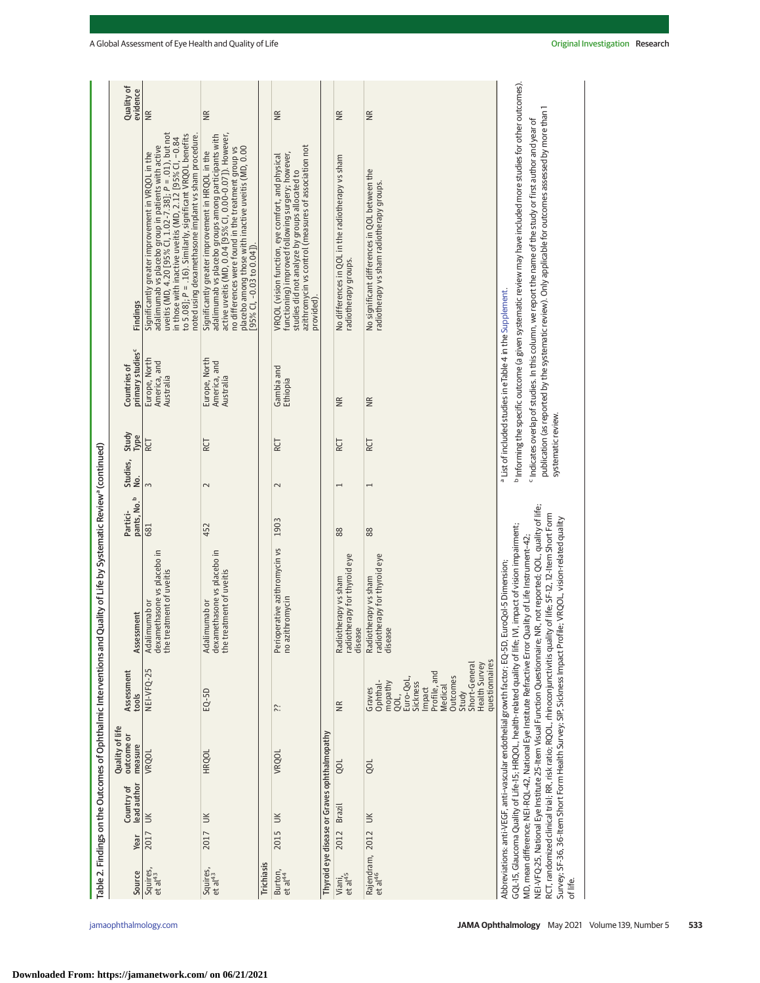|                                                                           | Quality of<br>evidence                       | $\widetilde{\Xi}$                                                                                                                                                                                                                                                                                                                                    | $\widetilde{\Xi}$                                                                                                                                                                                                                                                                              |                   | $\widetilde{\Xi}$                                                                                                                                                                                                             |                                              | $\widetilde{\Xi}$                                                         | $\widetilde{\Xi}$                                                                                                              |
|---------------------------------------------------------------------------|----------------------------------------------|------------------------------------------------------------------------------------------------------------------------------------------------------------------------------------------------------------------------------------------------------------------------------------------------------------------------------------------------------|------------------------------------------------------------------------------------------------------------------------------------------------------------------------------------------------------------------------------------------------------------------------------------------------|-------------------|-------------------------------------------------------------------------------------------------------------------------------------------------------------------------------------------------------------------------------|----------------------------------------------|---------------------------------------------------------------------------|--------------------------------------------------------------------------------------------------------------------------------|
|                                                                           | Findings                                     | adalimumab vs placebo group in patients with active<br>uveitis (MD, 4.20 [95% Cl, 1.02-7.38]; P = .01), but not<br>to 5.08]; P = .16). Similarly, significant VRQOL benefits<br>noted using dexamethasone implant vs sham procedure.<br>in those with inactive uveitis (MD, 2.12 [95% CI, -0.84<br>Significantly greater improvement in VRQOL in the | active uveitis (MD, 0.04 [95% CI, 0.00-0.07]). However,<br>adalimumab vs placebo groups among participants with<br>placebo among those with inactive uveitis (MD, 0.00<br>no differences were found in the treatment group vs<br>Significantly greater improvement in HRQOL in the<br>(140.04) |                   | azithromycin vs control (measures of association not<br>functioning) improved following surgery; however,<br>VRQOL (vision function, eye comfort, and physical<br>studies did not analyze by groups allocated to<br>provided) |                                              | No differences in QOL in the radiotherapy vs sham<br>radiotherapy groups. | No significant differences in QOL between the<br>radiotherapy vs sham radiotherapy groups.                                     |
|                                                                           | primary studies <sup>c</sup><br>Countries of | Europe, North<br>America, and<br>Australia                                                                                                                                                                                                                                                                                                           | Europe, North<br>America, and<br>Australia                                                                                                                                                                                                                                                     |                   | Gambia and<br>Ethiopia                                                                                                                                                                                                        |                                              | $\widetilde{B}$                                                           | ΨŘ                                                                                                                             |
|                                                                           | Study<br>Type                                | RCT                                                                                                                                                                                                                                                                                                                                                  | RCT                                                                                                                                                                                                                                                                                            |                   | RCT                                                                                                                                                                                                                           |                                              | RCT                                                                       | <b>RCT</b>                                                                                                                     |
|                                                                           | Studies,<br>No.                              | $\overline{m}$                                                                                                                                                                                                                                                                                                                                       | $\sim$                                                                                                                                                                                                                                                                                         |                   | $\sim$                                                                                                                                                                                                                        |                                              |                                                                           | $\overline{ }$                                                                                                                 |
|                                                                           | pants, No. <sup>b</sup><br>Partici-          | 681                                                                                                                                                                                                                                                                                                                                                  | 452                                                                                                                                                                                                                                                                                            |                   | 1903                                                                                                                                                                                                                          |                                              | 88                                                                        | 88                                                                                                                             |
| of Life by Systematic Review <sup>a</sup> (continued)                     | Assessment                                   | dexamethasone vs placebo in<br>of uveitis<br>Adalimumab or<br>the treatment                                                                                                                                                                                                                                                                          | dexamethasone vs placebo in<br>of uveitis<br>Adalimumab or<br>the treatment                                                                                                                                                                                                                    |                   | Perioperative azithromycin vs<br>no azithromycin                                                                                                                                                                              |                                              | Radiotherapy vs sham<br>radiotherapy for thyroid eye<br>disease           | for thyroid eye<br>Radiotherapy vs sham<br>radiotherapy<br>disease                                                             |
|                                                                           | Assessment<br>tools                          | NEI-VFQ-25                                                                                                                                                                                                                                                                                                                                           | $EQ-5D$                                                                                                                                                                                                                                                                                        |                   | ≿:                                                                                                                                                                                                                            |                                              | $\frac{\alpha}{\alpha}$                                                   | Profile, and<br><b>Outcomes</b><br>Euro-QoL<br>Ophthal-<br>mopathy<br>Sickness<br>Medical<br>Graves<br>Impact<br>Study<br>QOL, |
| Table 2. Findings on the Outcomes of Ophthalmic Interventions and Quality | Quality of life<br>outcome or<br>measure     | VRQOL                                                                                                                                                                                                                                                                                                                                                | <b>HRQOL</b>                                                                                                                                                                                                                                                                                   |                   | VRQOL                                                                                                                                                                                                                         |                                              | ğ                                                                         | go                                                                                                                             |
|                                                                           | lead author<br>Country of                    |                                                                                                                                                                                                                                                                                                                                                      |                                                                                                                                                                                                                                                                                                |                   |                                                                                                                                                                                                                               | Thyroid eye disease or Graves ophthalmopathy | Brazil                                                                    |                                                                                                                                |
|                                                                           | Year                                         | 2017 UK                                                                                                                                                                                                                                                                                                                                              | 2017 UK                                                                                                                                                                                                                                                                                        |                   | 2015 UK                                                                                                                                                                                                                       |                                              | 2012                                                                      |                                                                                                                                |
|                                                                           | Source                                       | Squires,<br>et al <sup>43</sup>                                                                                                                                                                                                                                                                                                                      | Squires,<br>et al <sup>43</sup>                                                                                                                                                                                                                                                                | <b>Trichiasis</b> | Burton,<br>et al <sup>44</sup>                                                                                                                                                                                                |                                              | Viani,<br>et al <sup>45</sup>                                             | Rajendram, 2012 UK<br>etal <sup>46</sup>                                                                                       |

Study<br>Short-General<br>Health Survey<br>questionnaires Short-General Health Survey questionnaires

Abbreviations: anti-VEGF, anti–vascular endothelial growth factor; EQ-5D, EuroQol-5 Dimension; GQL-15, Glaucoma Quality of Life-15; HRQOL, health-related quality of life; IVI, impact of vision impairment; MD, mean difference; NEI-RQL-42, National Eye Institute Refractive Error Quality of Life Instrument–42; NEI-VFQ-25, National Eye Institute 25-Item Visual Function Questionnaire; NR, not reported; QOL, quality of life; RCT, randomized clinical trial; RR, risk ratio; RQOL, rhinoconjunctivitis quality of life; SF-12, 12-Item Short Form Survey; SF-36, 36-Item Short Form Health Survey; SIP, Sickness Impact Profile; VRQOL, vision-related quality

Abbreviations: anti-VEGF, anti-vascular endothelial growth factor; EQ-5D, EuroQol-5 Dimension;

GQL-15, Glaucoma Quality of Life-15; HRQOL, health-related quality of life; WI, impact of vision impairment;

MD, mean difference; NEI-RQL-42, National Eye Institute Refractive Error Quality of Life Instrument-42;

NEI-VFQ-25, National Eye Institute 25-Item Visual Function Questionnaire; NR, not reported; QOL, quality of life; RCT, randomized clinical trial; RR, risk ratio; RQOL, rhinoconjunctivitis quality of life; SF-12, 12-Item Short Form Survey; SF-36, 36-Item Short Form Health Survey; SIP, Sickness Impact Profile; VRQOL, vision-related quality

<sup>a</sup> List of included studies in eTable 4 in the Supplement. List of included studies in eTable 4 in the [Supplement.](https://jamanetwork.com/journals/jama/fullarticle/10.1001/jamaophthalmol.2021.0146?utm_campaign=articlePDF%26utm_medium=articlePDFlink%26utm_source=articlePDF%26utm_content=jamaophthalmol.2021.0146)

systematic review.

systematic review.

<sup>b</sup> Informing the specific outcome (a given systematic review may have included more studies for other outcomes). Informing the specific outcome (a given systematic review may have included more studies for other outcomes). <sup>c</sup> Indicates overlap of studies. In this column, we report the name of the study or first author and year of  $^\mathsf{c}$  Indicates overlap of studies. In this column, we report the name of the study or first author and year of publication (as reported by the systematic review). Only applicable for outcomes assessed by more than 1

publication (as reported by the systematic review). Only applicable for outcomes assessed by more than 1

of life.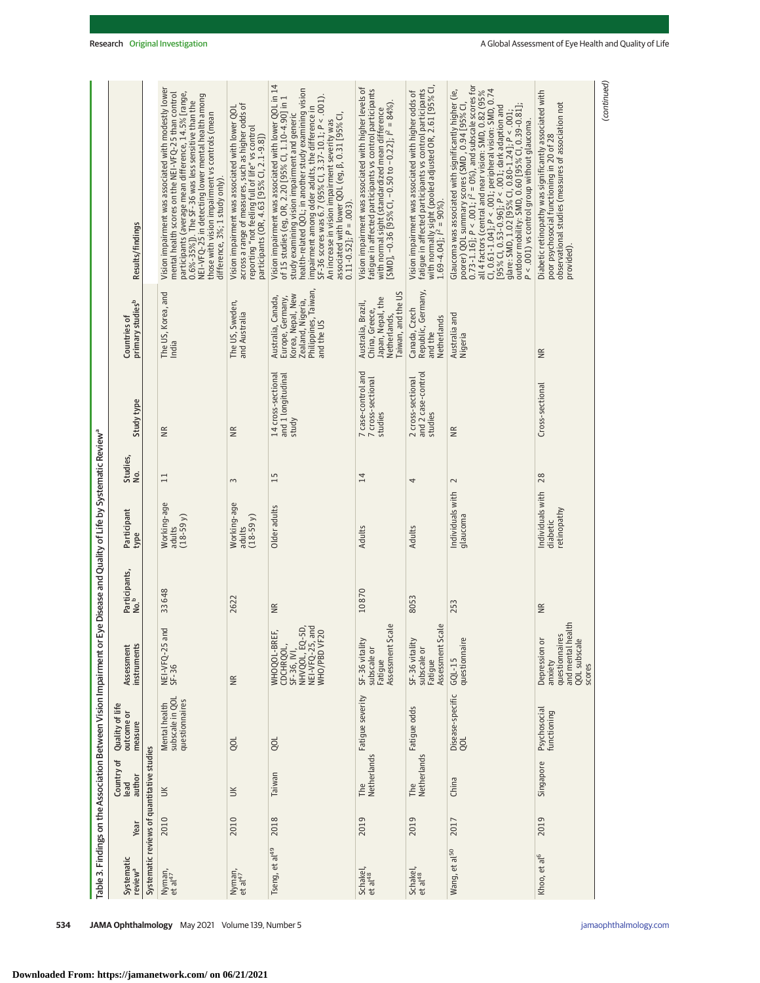**Downloaded From: https://jamanetwork.com/ on 06/21/2021**

|                                                                   | Results/findings                             |                                            | Vision impairment was associated with modestly lower<br>participants (average mean difference, 14.5% [range,<br>mental health scores on the NEI-VFQ-25 than control<br>NEI-VFQ-25 in detecting lower mental health among<br>$0.6\% - 35\%$ ]). The SF-36 was less sensitive than the<br>those with vision impairment vs controls (mean<br>difference, 3%; 1 study only). | across a range of measures, such as higher odds of<br>Vision impairment was associated with lower QOL<br>reporting "not feeling full of life" vs control<br>participants (OR, 4.63 [95% CI, 2.1-9.8]) | Vision impairment was associated with lower QOL in 14<br>health-related QOL; in another study examining vision<br>impairment among older adults, the difference in SF-36 scores was 6.7 (95% Cl, 3.37-10.1; P < .001).<br>of 15 studies (eg, OR, 2.20 [95% Cl, 1.10-4.90] in 1<br>study examining vision impairment and generic<br>associated with lower QOL (eg, $\beta$ , 0.31 [95% CI,<br>An increase in vision impairment severity was<br>$0.11 - 0.52$ ]; $P = .003$ ). | Vision impairment was associated with higher levels of<br>fatigue in affected participants vs control participants<br>with normal sight (standardized mean difference<br>[SMD], –0.36 [95% CI, –0.50 to –0.22]; / <sup>2</sup> = 84%). | with normally sight (pooled adjusted OR, 2.61 [95% Cl<br>1.69-4.04]; $l^2 = 90\%)$ .<br>fatigue in affected participants vs control participants<br>Vision impairment was associated with higher odds of | poorer) QQL summary scores (SMD , 0.94 [95% Cl, $0.73\text{-}1.16$ ]; $P < .001$ ; $l^2 = 0\%)$ , and subscale scores for<br>Cl, 0.61-1.04]; P < .001; peripheral vision: SMD, 0.74<br>[95% Cl, 0.53-0.96]; P < .001; dark adaption and<br>Glaucoma was associated with significantly higher (ie,<br>all 4 factors (central and near vision: SMD, 0.82 (95%<br>outdoor mobility: SMD, 0.60 [95% CI, 0.39-0.81];<br>glare: SMD, 1.02 [95% CI, 0.80-1.24]; P < .001;<br>P < .001) vs control group without glaucoma. | Diabetic retinopathy was significantly associated with<br>observational studies (measures of association not<br>poor psychosocial functioning in 20 of 28<br>provided). | (continued) |
|-------------------------------------------------------------------|----------------------------------------------|--------------------------------------------|--------------------------------------------------------------------------------------------------------------------------------------------------------------------------------------------------------------------------------------------------------------------------------------------------------------------------------------------------------------------------|-------------------------------------------------------------------------------------------------------------------------------------------------------------------------------------------------------|------------------------------------------------------------------------------------------------------------------------------------------------------------------------------------------------------------------------------------------------------------------------------------------------------------------------------------------------------------------------------------------------------------------------------------------------------------------------------|----------------------------------------------------------------------------------------------------------------------------------------------------------------------------------------------------------------------------------------|----------------------------------------------------------------------------------------------------------------------------------------------------------------------------------------------------------|--------------------------------------------------------------------------------------------------------------------------------------------------------------------------------------------------------------------------------------------------------------------------------------------------------------------------------------------------------------------------------------------------------------------------------------------------------------------------------------------------------------------|-------------------------------------------------------------------------------------------------------------------------------------------------------------------------|-------------|
|                                                                   | primary studies <sup>b</sup><br>Countries of |                                            | The US, Korea, and<br>India                                                                                                                                                                                                                                                                                                                                              | The US, Sweden,<br>and Australia                                                                                                                                                                      | Philippines, Taiwan,<br>Korea, Nepal, New<br>Australia, Canada,<br>Europe, Germany,<br>Zealand, Nigeria,<br>and the US                                                                                                                                                                                                                                                                                                                                                       | Taiwan, and the US<br>Japan, Nepal, the<br>Australia, Brazil,<br>China, Greece,<br>Netherlands,                                                                                                                                        | Republic, Germany,<br>Canada, Czech<br>Netherlands<br>and the                                                                                                                                            | Australia and<br>Nigeria                                                                                                                                                                                                                                                                                                                                                                                                                                                                                           | NR.                                                                                                                                                                     |             |
|                                                                   | Study type                                   |                                            | €                                                                                                                                                                                                                                                                                                                                                                        | $\widetilde{B}$                                                                                                                                                                                       | 14 cross-sectional<br>and 1 longitudinal<br>study                                                                                                                                                                                                                                                                                                                                                                                                                            | 7 case-control and<br>7 cross-sectional<br>studies                                                                                                                                                                                     | and 2 case-control<br>2 cross-sectional<br>studies                                                                                                                                                       | $\widetilde{B}$                                                                                                                                                                                                                                                                                                                                                                                                                                                                                                    | Cross-sectional                                                                                                                                                         |             |
|                                                                   | Studies,<br>ρò.                              |                                            | $\Xi$                                                                                                                                                                                                                                                                                                                                                                    | $\sim$                                                                                                                                                                                                | 15                                                                                                                                                                                                                                                                                                                                                                                                                                                                           | $\overline{14}$                                                                                                                                                                                                                        | 4                                                                                                                                                                                                        | $\sim$                                                                                                                                                                                                                                                                                                                                                                                                                                                                                                             | 28                                                                                                                                                                      |             |
| Eye Disease and Quality of Life by Systematic Review <sup>a</sup> | Participant<br>type                          |                                            | Working-age<br>$(18 - 59y)$<br>adults                                                                                                                                                                                                                                                                                                                                    | Working-age<br>$(18-59y)$<br>adults                                                                                                                                                                   | Older adults                                                                                                                                                                                                                                                                                                                                                                                                                                                                 | <b>Adults</b>                                                                                                                                                                                                                          | Adults                                                                                                                                                                                                   | Individuals with<br>glaucoma                                                                                                                                                                                                                                                                                                                                                                                                                                                                                       | Individuals with<br>retinopathy<br>diabetic                                                                                                                             |             |
|                                                                   | Participants,<br>No. <sup>b</sup>            |                                            | 33648                                                                                                                                                                                                                                                                                                                                                                    | 2622                                                                                                                                                                                                  | WR                                                                                                                                                                                                                                                                                                                                                                                                                                                                           | 10870                                                                                                                                                                                                                                  | 8053                                                                                                                                                                                                     | 253                                                                                                                                                                                                                                                                                                                                                                                                                                                                                                                | $\widetilde{\Xi}$                                                                                                                                                       |             |
|                                                                   | instruments<br>Assessment                    |                                            | NEI-VFQ-25 and<br>SF-36                                                                                                                                                                                                                                                                                                                                                  | $\widetilde{B}$                                                                                                                                                                                       | NHVQOL, EQ-5D,<br>NEI-VFQ-25, and<br>20<br>WHOQOL-BREF,<br>WHO/PBD VF.<br>CDCHRQOL,<br>SF-36, IVI,                                                                                                                                                                                                                                                                                                                                                                           | Assessment Scale<br>SF-36 vitality<br>subscale or<br>Fatique                                                                                                                                                                           | Assessment Scale<br>SF-36 vitality<br>subscale or<br>Fatigue                                                                                                                                             | questionnaire<br>$GQL - 15$                                                                                                                                                                                                                                                                                                                                                                                                                                                                                        | and mental health<br>questionnaires<br>Depression or<br>QOL subscale<br>anxiety<br>scores                                                                               |             |
| Table 3. Findings on the Association Between Vision Impairment or | Quality of life<br>outcome or<br>measure     |                                            | Mental health<br>subscale in QOL<br>questionnaires                                                                                                                                                                                                                                                                                                                       | gol                                                                                                                                                                                                   | go                                                                                                                                                                                                                                                                                                                                                                                                                                                                           | Fatigue severity                                                                                                                                                                                                                       | Fatigue odds                                                                                                                                                                                             | Disease-specific<br>QOL                                                                                                                                                                                                                                                                                                                                                                                                                                                                                            | Psychosocial<br>functioning                                                                                                                                             |             |
|                                                                   | Country of<br>lead<br>author                 |                                            | $\leq$                                                                                                                                                                                                                                                                                                                                                                   | $\leq$                                                                                                                                                                                                | Taiwan                                                                                                                                                                                                                                                                                                                                                                                                                                                                       | Netherlands<br>The                                                                                                                                                                                                                     | Netherlands<br>The                                                                                                                                                                                       | China                                                                                                                                                                                                                                                                                                                                                                                                                                                                                                              | Singapore                                                                                                                                                               |             |
|                                                                   | Year                                         |                                            | 2010                                                                                                                                                                                                                                                                                                                                                                     | 2010                                                                                                                                                                                                  | 2018                                                                                                                                                                                                                                                                                                                                                                                                                                                                         | 2019                                                                                                                                                                                                                                   | 2019                                                                                                                                                                                                     | 2017                                                                                                                                                                                                                                                                                                                                                                                                                                                                                                               | 2019                                                                                                                                                                    |             |
|                                                                   | Systematic<br>review <sup>a</sup>            | Systematic reviews of quantitative studies | Nyman,<br>et al <sup>47</sup>                                                                                                                                                                                                                                                                                                                                            | Nyman,<br>et al <sup>47</sup>                                                                                                                                                                         | Tseng, et al <sup>49</sup>                                                                                                                                                                                                                                                                                                                                                                                                                                                   | Schakel,<br>et al <sup>48</sup>                                                                                                                                                                                                        | Schakel,<br>et al <sup>48</sup>                                                                                                                                                                          | Wang, et al <sup>50</sup>                                                                                                                                                                                                                                                                                                                                                                                                                                                                                          | Khoo, et al <sup>6</sup>                                                                                                                                                |             |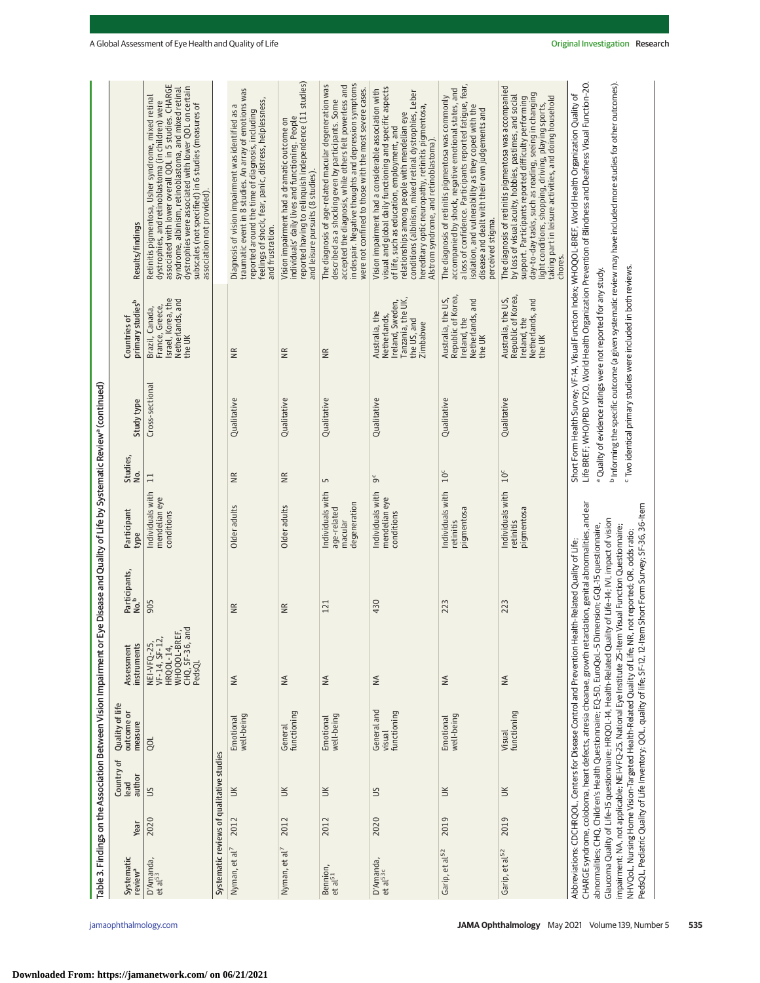|                                                                               | Results/findings                             | associated with lower overall QOL in 5 studies. CHARGE<br>dystrophies were associated with lower QOL on certain<br>syndrome, albinism, retinoblastoma, and mixed retinal<br>Retinitis pigmentosa, Usher syndrome, mixed retinal<br>dystrophies, and retinoblastoma (in children) were<br>subscales (not specified) in 6 studies (measures of<br>association not provided). |                                           | traumatic event in 8 studies. An array of emotions was<br>feelings of shock, fear, panic, distress, helplessness,<br>Diagnosis of vision impairment was identified as a<br>reported around the time of diagnosis, including<br>and frustration. | reported having to relinquish independence (11 studies)<br>individuals' daily lives and functioning. People<br>Vision impairment had a dramatic outcome on<br>and leisure pursuits (8 studies). | in despair. Negative thoughts and depression symptoms<br>The diagnosis of age-related macular degeneration was<br>accepted the diagnosis, while others felt powerless and<br>were not confined to those with the most severe cases.<br>described as a shocking even by participants. Some | visual and global daily functioning and specific aspects<br>Vision impairment had a considerable association with<br>conditions (albinism, mixed retinal dystrophies, Leber<br>hereditary optic neuropathy, retinitis pigmentosa,<br>relationships among people with mendelian eye<br>of life, such as education, employment, and<br>Alstrom syndrome, and retinoblastoma). | a loss of confidence. Participants reported fatigue, fear,<br>accompanied by shock, negative emotional states, and<br>The diagnosis of retinitis pigmentosa was commonly<br>isolation, and vulnerability as they coped with the<br>disease and dealt with their own judgements and<br>perceived stigma. | The diagnosis of retinitis pigmentosa was accompanied<br>day-to-day tasks, such as reading, seeing in changing<br>by loss of visual acuity, hobbies, pastimes, and social<br>light conditions, shopping, driving, playing sports,<br>taking part in leisure activities, and doing household<br>support. Participants reported difficulty performing<br>chores. | Life BREF; WHO/PBD VF20, World Health Organization Prevention of Blindness and Deafness Visual Function-20.<br><sup>b</sup> Informing the specific outcome (a given systematic review may have included more studies for other outcomes).<br>Short Form Health Survey; VF-14, Visual Function Index; WHOQOL-BREF, World Health Organization Quality of                                                                                                                                                                                                                                                                                                                                                                                                                                        |
|-------------------------------------------------------------------------------|----------------------------------------------|----------------------------------------------------------------------------------------------------------------------------------------------------------------------------------------------------------------------------------------------------------------------------------------------------------------------------------------------------------------------------|-------------------------------------------|-------------------------------------------------------------------------------------------------------------------------------------------------------------------------------------------------------------------------------------------------|-------------------------------------------------------------------------------------------------------------------------------------------------------------------------------------------------|-------------------------------------------------------------------------------------------------------------------------------------------------------------------------------------------------------------------------------------------------------------------------------------------|-----------------------------------------------------------------------------------------------------------------------------------------------------------------------------------------------------------------------------------------------------------------------------------------------------------------------------------------------------------------------------|---------------------------------------------------------------------------------------------------------------------------------------------------------------------------------------------------------------------------------------------------------------------------------------------------------|----------------------------------------------------------------------------------------------------------------------------------------------------------------------------------------------------------------------------------------------------------------------------------------------------------------------------------------------------------------|-----------------------------------------------------------------------------------------------------------------------------------------------------------------------------------------------------------------------------------------------------------------------------------------------------------------------------------------------------------------------------------------------------------------------------------------------------------------------------------------------------------------------------------------------------------------------------------------------------------------------------------------------------------------------------------------------------------------------------------------------------------------------------------------------|
|                                                                               | primary studies <sup>b</sup><br>Countries of | Israel, Korea, the<br>Netherlands, and<br>France, Greece,<br>Brazil, Canada,<br>the UK                                                                                                                                                                                                                                                                                     |                                           | Ξ                                                                                                                                                                                                                                               | $\frac{R}{R}$                                                                                                                                                                                   | χR                                                                                                                                                                                                                                                                                        | Ireland, Sweden,<br>Tanzania, the UK,<br>Australia, the<br>Netherlands,<br>the US, and<br>Zimbabwe                                                                                                                                                                                                                                                                          | Republic of Korea<br>Australia, the US,<br>Netherlands, and<br>Ireland, the<br>the UK                                                                                                                                                                                                                   | Republic of Korea<br>Australia, the US,<br>Netherlands, and<br>Ireland, the<br>the UK                                                                                                                                                                                                                                                                          | <sup>c</sup> Two identical primary studies were included in both reviews.<br>a Quality of evidence ratings were not reported for any study.                                                                                                                                                                                                                                                                                                                                                                                                                                                                                                                                                                                                                                                   |
|                                                                               | Study type                                   | Cross-sectional                                                                                                                                                                                                                                                                                                                                                            |                                           | Qualitative                                                                                                                                                                                                                                     | Qualitative                                                                                                                                                                                     | Qualitative                                                                                                                                                                                                                                                                               | Qualitative                                                                                                                                                                                                                                                                                                                                                                 | Qualitative                                                                                                                                                                                                                                                                                             | Qualitative                                                                                                                                                                                                                                                                                                                                                    |                                                                                                                                                                                                                                                                                                                                                                                                                                                                                                                                                                                                                                                                                                                                                                                               |
|                                                                               | Studies,<br>No.                              | $\Xi$                                                                                                                                                                                                                                                                                                                                                                      |                                           | $\frac{R}{N}$                                                                                                                                                                                                                                   | $\widetilde{R}$                                                                                                                                                                                 | S                                                                                                                                                                                                                                                                                         | უ<br>თ                                                                                                                                                                                                                                                                                                                                                                      | $10^{\circ}$                                                                                                                                                                                                                                                                                            | $10^{\circ}$                                                                                                                                                                                                                                                                                                                                                   |                                                                                                                                                                                                                                                                                                                                                                                                                                                                                                                                                                                                                                                                                                                                                                                               |
| Eye Disease and Quality of Life by Systematic Review <sup>a</sup> (continued) | Participant<br>type                          | Individuals with<br>mendelian eye<br>conditions                                                                                                                                                                                                                                                                                                                            |                                           | Older adults                                                                                                                                                                                                                                    | Older adults                                                                                                                                                                                    | Individuals with<br>degeneration<br>age-related<br>macular                                                                                                                                                                                                                                | Individuals with<br>mendelian eye<br>conditions                                                                                                                                                                                                                                                                                                                             | Individuals with<br>pigmentosa<br>retinitis                                                                                                                                                                                                                                                             | Individuals with<br>pigmentosa<br>retinitis                                                                                                                                                                                                                                                                                                                    |                                                                                                                                                                                                                                                                                                                                                                                                                                                                                                                                                                                                                                                                                                                                                                                               |
|                                                                               | Participants,<br>No. <sup>b</sup>            | 905                                                                                                                                                                                                                                                                                                                                                                        |                                           | $\widetilde{\Xi}$                                                                                                                                                                                                                               | $\cong$                                                                                                                                                                                         | 121                                                                                                                                                                                                                                                                                       | 430                                                                                                                                                                                                                                                                                                                                                                         | 223                                                                                                                                                                                                                                                                                                     | 223                                                                                                                                                                                                                                                                                                                                                            | CHARGE syndrome, coloboma, heart defects, atresia choanae, growth retardation, genital abnormalities, and ear<br>PedsQL, Pediatric Quality of Life Inventory; QOL, quality of life; SF-12, 12-Item Short Form Survey; SF-36, 36-Item<br>Glaucoma Quality of Life-15 questionnaire: HRQOL-14. Health-Related Quality of Life-14: IVI. impact of vision<br>abnormalities; CHQ, Children's Health Questionnaire; EQ-5D, EuroQoL-5 Dimension; GQL-15 questionnaire,<br>impairment; NA, not applicable; NEI-VFQ-25, National Eye Institute 25-Item Visual Function Questionnaire;<br>NHVQoL, Nursing Home Vision-Targeted Health-Related Quality of Life; NR, not reported; OR, odds ratio;<br>Abbreviations: CDCHRQOL, Centers for Disease Control and Prevention Health-Related Quality of Life; |
|                                                                               | instruments<br>Assessment                    | WHOQOL-BREF,<br>CHQ, SF-36, and<br>VF-14, SF-12<br>NEI-VFQ-25,<br>HRQ0L-14,<br>PedsQL                                                                                                                                                                                                                                                                                      |                                           | $\leq$                                                                                                                                                                                                                                          | $\leq$                                                                                                                                                                                          | $\lessapprox$                                                                                                                                                                                                                                                                             | $\leq$                                                                                                                                                                                                                                                                                                                                                                      | $\stackrel{\triangle}{\geq}$                                                                                                                                                                                                                                                                            | $\lessgtr$                                                                                                                                                                                                                                                                                                                                                     |                                                                                                                                                                                                                                                                                                                                                                                                                                                                                                                                                                                                                                                                                                                                                                                               |
| Table 3. Findings on the Association Between Vision Impairment or             | Quality of life<br>outcome or<br>measure     | QOL                                                                                                                                                                                                                                                                                                                                                                        |                                           | Emotional<br>well-being                                                                                                                                                                                                                         | General<br>functioning                                                                                                                                                                          | Emotional<br>well-being                                                                                                                                                                                                                                                                   | General and<br>functioning<br>visual                                                                                                                                                                                                                                                                                                                                        | well-being<br>Emotional                                                                                                                                                                                                                                                                                 | functioning<br>Visual                                                                                                                                                                                                                                                                                                                                          |                                                                                                                                                                                                                                                                                                                                                                                                                                                                                                                                                                                                                                                                                                                                                                                               |
|                                                                               | Country of<br>author<br>lead                 | $\leq$                                                                                                                                                                                                                                                                                                                                                                     |                                           | $\leq$                                                                                                                                                                                                                                          | $\leq$                                                                                                                                                                                          | $\leq$                                                                                                                                                                                                                                                                                    | $\leq$                                                                                                                                                                                                                                                                                                                                                                      | $\leq$                                                                                                                                                                                                                                                                                                  | $\leq$                                                                                                                                                                                                                                                                                                                                                         |                                                                                                                                                                                                                                                                                                                                                                                                                                                                                                                                                                                                                                                                                                                                                                                               |
|                                                                               | Year                                         | 2020                                                                                                                                                                                                                                                                                                                                                                       |                                           | 2012                                                                                                                                                                                                                                            | 2012                                                                                                                                                                                            | 2012                                                                                                                                                                                                                                                                                      | 2020                                                                                                                                                                                                                                                                                                                                                                        | 2019                                                                                                                                                                                                                                                                                                    | 2019                                                                                                                                                                                                                                                                                                                                                           |                                                                                                                                                                                                                                                                                                                                                                                                                                                                                                                                                                                                                                                                                                                                                                                               |
|                                                                               | Systematic<br>review <sup>a</sup>            | D'Amanda,<br>et al <sup>53</sup>                                                                                                                                                                                                                                                                                                                                           | Systematic reviews of qualitative studies | Nyman, et al <sup>7</sup>                                                                                                                                                                                                                       | Nyman, et al <sup>7</sup>                                                                                                                                                                       | Bennion,<br>et al <sup>51</sup>                                                                                                                                                                                                                                                           | D'Amanda,<br>et al <sup>53c</sup>                                                                                                                                                                                                                                                                                                                                           | Garip, et al <sup>52</sup>                                                                                                                                                                                                                                                                              | Garip, et al <sup>52</sup>                                                                                                                                                                                                                                                                                                                                     |                                                                                                                                                                                                                                                                                                                                                                                                                                                                                                                                                                                                                                                                                                                                                                                               |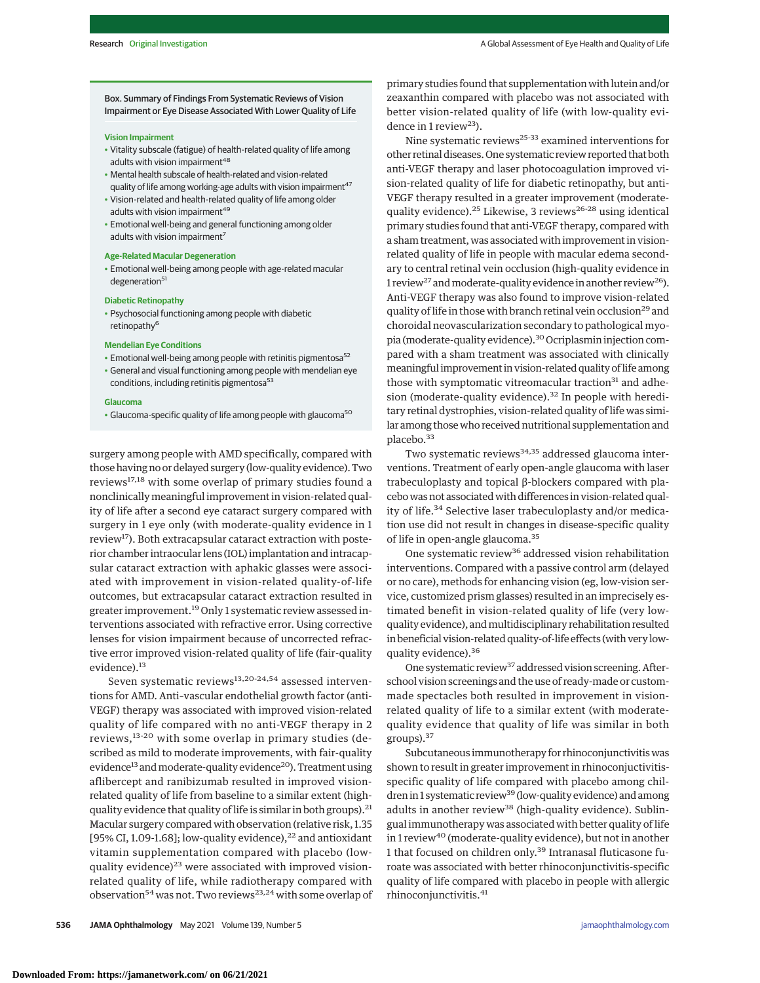Box. Summary of Findings From Systematic Reviews of Vision Impairment or Eye Disease Associated With Lower Quality of Life

#### **Vision Impairment**

- Vitality subscale (fatigue) of health-related quality of life among adults with vision impairment<sup>48</sup>
- Mental health subscale of health-related and vision-related quality of life among working-age adults with vision impairment<sup>47</sup>
- Vision-related and health-related quality of life among older adults with vision impairment<sup>49</sup>
- Emotional well-being and general functioning among older adults with vision impairment<sup>7</sup>

#### **Age-Related Macular Degeneration**

• Emotional well-being among people with age-related macular degeneration<sup>51</sup>

## **Diabetic Retinopathy**

• Psychosocial functioning among people with diabetic retinopathy<sup>6</sup>

#### **Mendelian Eye Conditions**

- Emotional well-being among people with retinitis pigmentosa<sup>52</sup>
- General and visual functioning among people with mendelian eye conditions, including retinitis pigmentosa<sup>53</sup>

#### **Glaucoma**

• Glaucoma-specific quality of life among people with glaucoma<sup>50</sup>

surgery among people with AMD specifically, compared with those having no or delayed surgery (low-quality evidence). Two reviews17,18 with some overlap of primary studies found a nonclinically meaningful improvement in vision-related quality of life after a second eye cataract surgery compared with surgery in 1 eye only (with moderate-quality evidence in 1 review<sup>17</sup>). Both extracapsular cataract extraction with posterior chamber intraocular lens (IOL) implantation and intracapsular cataract extraction with aphakic glasses were associated with improvement in vision-related quality-of-life outcomes, but extracapsular cataract extraction resulted in greater improvement.<sup>19</sup> Only 1 systematic review assessed interventions associated with refractive error. Using corrective lenses for vision impairment because of uncorrected refractive error improved vision-related quality of life (fair-quality evidence).<sup>13</sup>

Seven systematic reviews<sup>13,20-24,54</sup> assessed interventions for AMD. Anti–vascular endothelial growth factor (anti-VEGF) therapy was associated with improved vision-related quality of life compared with no anti-VEGF therapy in 2 reviews,13-20 with some overlap in primary studies (described as mild to moderate improvements, with fair-quality evidence<sup>13</sup> and moderate-quality evidence<sup>20</sup>). Treatment using aflibercept and ranibizumab resulted in improved visionrelated quality of life from baseline to a similar extent (highquality evidence that quality of life is similar in both groups).  $^{21}$ Macular surgery compared with observation (relative risk, 1.35 [95% CI, 1.09-1.68]; low-quality evidence), $^{22}$  and antioxidant vitamin supplementation compared with placebo (lowquality evidence)<sup>23</sup> were associated with improved visionrelated quality of life, while radiotherapy compared with observation<sup>54</sup> was not. Two reviews<sup>23,24</sup> with some overlap of

primary studies found that supplementation with lutein and/or zeaxanthin compared with placebo was not associated with better vision-related quality of life (with low-quality evidence in 1 review<sup>23</sup>).

Nine systematic reviews $25-33$  examined interventions for other retinal diseases. One systematic review reported that both anti-VEGF therapy and laser photocoagulation improved vision-related quality of life for diabetic retinopathy, but anti-VEGF therapy resulted in a greater improvement (moderatequality evidence).<sup>25</sup> Likewise, 3 reviews<sup>26-28</sup> using identical primary studies found that anti-VEGF therapy, compared with a sham treatment, was associated with improvement in visionrelated quality of life in people with macular edema secondary to central retinal vein occlusion (high-quality evidence in 1 review<sup>27</sup> and moderate-quality evidence in another review<sup>26</sup>). Anti-VEGF therapy was also found to improve vision-related quality of life in those with branch retinal vein occlusion<sup>29</sup> and choroidal neovascularization secondary to pathological myopia (moderate-quality evidence).<sup>30</sup> Ocriplasmin injection compared with a sham treatment was associated with clinically meaningful improvement in vision-related quality of life among those with symptomatic vitreomacular traction<sup>31</sup> and adhesion (moderate-quality evidence). $32$  In people with hereditary retinal dystrophies, vision-related quality of life was similar among those who received nutritional supplementation and placebo.<sup>33</sup>

Two systematic reviews<sup>34,35</sup> addressed glaucoma interventions. Treatment of early open-angle glaucoma with laser trabeculoplasty and topical β-blockers compared with placebo was not associated with differences in vision-related quality of life.<sup>34</sup> Selective laser trabeculoplasty and/or medication use did not result in changes in disease-specific quality of life in open-angle glaucoma.<sup>35</sup>

One systematic review<sup>36</sup> addressed vision rehabilitation interventions. Compared with a passive control arm (delayed or no care), methods for enhancing vision (eg, low-vision service, customized prism glasses) resulted in an imprecisely estimated benefit in vision-related quality of life (very lowquality evidence), andmultidisciplinary rehabilitation resulted in beneficial vision-related quality-of-life effects (with very lowquality evidence).<sup>36</sup>

One systematic review<sup>37</sup> addressed vision screening. Afterschool vision screenings and the use of ready-made or custommade spectacles both resulted in improvement in visionrelated quality of life to a similar extent (with moderatequality evidence that quality of life was similar in both groups).<sup>37</sup>

Subcutaneous immunotherapy for rhinoconjunctivitis was shown to result in greater improvement in rhinoconjuctivitisspecific quality of life compared with placebo among children in 1 systematic review<sup>39</sup> (low-quality evidence) and among adults in another review<sup>38</sup> (high-quality evidence). Sublingual immunotherapy was associated with better quality of life in 1 review<sup>40</sup> (moderate-quality evidence), but not in another 1 that focused on children only.<sup>39</sup> Intranasal fluticasone furoate was associated with better rhinoconjunctivitis-specific quality of life compared with placebo in people with allergic rhinoconjunctivitis.41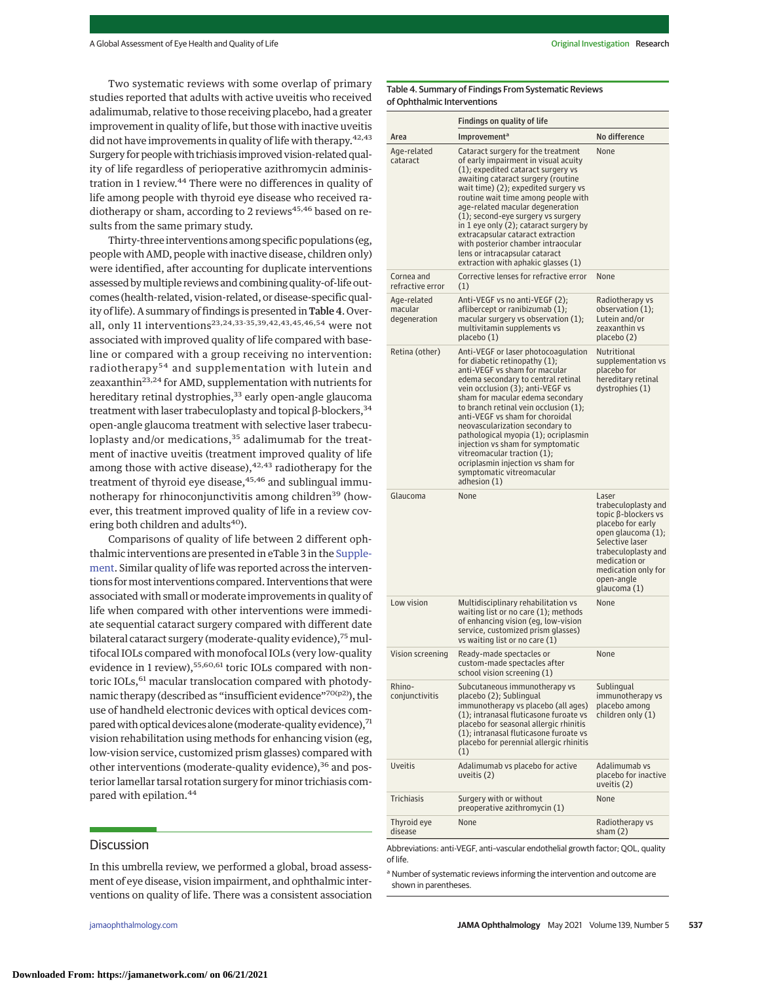Two systematic reviews with some overlap of primary studies reported that adults with active uveitis who received adalimumab, relative to those receiving placebo, had a greater improvement in quality of life, but those with inactive uveitis did not have improvements in quality of life with therapy.  $42,43$ Surgery for peoplewith trichiasis improved vision-related quality of life regardless of perioperative azithromycin administration in 1 review.<sup>44</sup> There were no differences in quality of life among people with thyroid eye disease who received radiotherapy or sham, according to 2 reviews<sup>45,46</sup> based on results from the same primary study.

Thirty-three interventions among specific populations (eg, people with AMD, people with inactive disease, children only) were identified, after accounting for duplicate interventions assessed bymultiple reviews and combining quality-of-life outcomes (health-related, vision-related, or disease-specific quality of life). A summary of findings is presented in Table 4. Overall, only 11 interventions<sup>23,24,33-35,39,42,43,45,46,54</sup> were not associated with improved quality of life compared with baseline or compared with a group receiving no intervention: radiotherapy<sup>54</sup> and supplementation with lutein and zeaxanthin<sup>23,24</sup> for AMD, supplementation with nutrients for hereditary retinal dystrophies,<sup>33</sup> early open-angle glaucoma treatment with laser trabeculoplasty and topical β-blockers,  $34$ open-angle glaucoma treatment with selective laser trabeculoplasty and/or medications,<sup>35</sup> adalimumab for the treatment of inactive uveitis (treatment improved quality of life among those with active disease),  $42,43$  radiotherapy for the treatment of thyroid eye disease,<sup>45,46</sup> and sublingual immunotherapy for rhinoconjunctivitis among children<sup>39</sup> (however, this treatment improved quality of life in a review covering both children and adults<sup>40</sup>).

Comparisons of quality of life between 2 different ophthalmic interventions are presented in eTable 3 in the [Supple](https://jamanetwork.com/journals/jama/fullarticle/10.1001/jamaophthalmol.2021.0146?utm_campaign=articlePDF%26utm_medium=articlePDFlink%26utm_source=articlePDF%26utm_content=jamaophthalmol.2021.0146)[ment.](https://jamanetwork.com/journals/jama/fullarticle/10.1001/jamaophthalmol.2021.0146?utm_campaign=articlePDF%26utm_medium=articlePDFlink%26utm_source=articlePDF%26utm_content=jamaophthalmol.2021.0146) Similar quality of life was reported across the interventions formost interventions compared. Interventions that were associated with small or moderate improvements in quality of life when compared with other interventions were immediate sequential cataract surgery compared with different date bilateral cataract surgery (moderate-quality evidence),<sup>75</sup> multifocal IOLs compared with monofocal IOLs (very low-quality evidence in 1 review),<sup>55,60,61</sup> toric IOLs compared with nontoric IOLs,<sup>61</sup> macular translocation compared with photodynamic therapy (described as "insufficient evidence"70(p2)), the use of handheld electronic devices with optical devices compared with optical devices alone (moderate-quality evidence), 71 vision rehabilitation using methods for enhancing vision (eg, low-vision service, customized prism glasses) compared with other interventions (moderate-quality evidence),<sup>36</sup> and posterior lamellar tarsal rotation surgery for minor trichiasis compared with epilation.<sup>44</sup>

# **Discussion**

In this umbrella review, we performed a global, broad assessment of eye disease, vision impairment, and ophthalmic interventions on quality of life. There was a consistent association

Table 4. Summary of Findings From Systematic Reviews of Ophthalmic Interventions

|                                        | Findings on quality of life                                                                                                                                                                                                                                                                                                                                                                                                                                                                                                         |                                                                                                                                                                                                                |
|----------------------------------------|-------------------------------------------------------------------------------------------------------------------------------------------------------------------------------------------------------------------------------------------------------------------------------------------------------------------------------------------------------------------------------------------------------------------------------------------------------------------------------------------------------------------------------------|----------------------------------------------------------------------------------------------------------------------------------------------------------------------------------------------------------------|
| Area                                   | Improvement <sup>a</sup>                                                                                                                                                                                                                                                                                                                                                                                                                                                                                                            | No difference                                                                                                                                                                                                  |
| Age-related<br>cataract                | Cataract surgery for the treatment<br>of early impairment in visual acuity<br>(1); expedited cataract surgery vs<br>awaiting cataract surgery (routine<br>wait time) (2); expedited surgery vs<br>routine wait time among people with<br>age-related macular degeneration<br>(1); second-eye surgery vs surgery<br>in 1 eye only (2); cataract surgery by<br>extracapsular cataract extraction<br>with posterior chamber intraocular<br>lens or intracapsular cataract<br>extraction with aphakic glasses (1)                       | None                                                                                                                                                                                                           |
| Cornea and<br>refractive error         | Corrective lenses for refractive error<br>(1)                                                                                                                                                                                                                                                                                                                                                                                                                                                                                       | None                                                                                                                                                                                                           |
| Age-related<br>macular<br>degeneration | Anti-VEGF vs no anti-VEGF (2);<br>aflibercept or ranibizumab (1);<br>macular surgery vs observation $(1)$ ;<br>multivitamin supplements vs<br>placebo (1)                                                                                                                                                                                                                                                                                                                                                                           | Radiotherapy vs<br>observation $(1)$ ;<br>Lutein and/or<br>zeaxanthin vs<br>placebo (2)                                                                                                                        |
| Retina (other)                         | Anti-VEGF or laser photocoagulation<br>for diabetic retinopathy $(1)$ ;<br>anti-VEGF vs sham for macular<br>edema secondary to central retinal<br>vein occlusion (3); anti-VEGF vs<br>sham for macular edema secondary<br>to branch retinal vein occlusion (1);<br>anti-VEGF vs sham for choroidal<br>neovascularization secondary to<br>pathological myopia (1); ocriplasmin<br>injection vs sham for symptomatic<br>vitreomacular traction (1);<br>ocriplasmin injection vs sham for<br>symptomatic vitreomacular<br>adhesion (1) | Nutritional<br>supplementation vs<br>placebo for<br>hereditary retinal<br>dystrophies (1)                                                                                                                      |
| Glaucoma                               | None                                                                                                                                                                                                                                                                                                                                                                                                                                                                                                                                | Laser<br>trabeculoplasty and<br>topic β-blockers vs<br>placebo for early<br>open glaucoma (1);<br>Selective laser<br>trabeculoplasty and<br>medication or<br>medication only for<br>open-angle<br>glaucoma (1) |
| Low vision                             | Multidisciplinary rehabilitation vs<br>waiting list or no care $(1)$ ; methods<br>of enhancing vision (eg, low-vision<br>service, customized prism glasses)<br>vs waiting list or no care (1)                                                                                                                                                                                                                                                                                                                                       | None                                                                                                                                                                                                           |
| Vision screening                       | Ready-made spectacles or<br>custom-made spectacles after<br>school vision screening (1)                                                                                                                                                                                                                                                                                                                                                                                                                                             | None                                                                                                                                                                                                           |
| Rhino-<br>conjunctivitis               | Subcutaneous immunotherapy vs<br>placebo (2); Sublingual<br>immunotherapy vs placebo (all ages)<br>(1); intranasal fluticasone furoate vs<br>placebo for seasonal allergic rhinitis<br>(1); intranasal fluticasone furoate vs<br>placebo for perennial allergic rhinitis<br>(1)                                                                                                                                                                                                                                                     | Sublingual<br>immunotherapy vs<br>placebo among<br>children only (1)                                                                                                                                           |
| Uveitis                                | Adalimumab vs placebo for active<br>uveitis (2)                                                                                                                                                                                                                                                                                                                                                                                                                                                                                     | Adalimumab vs<br>placebo for inactive<br>uveitis (2)                                                                                                                                                           |
| <b>Trichiasis</b>                      | Surgery with or without<br>preoperative azithromycin (1)                                                                                                                                                                                                                                                                                                                                                                                                                                                                            | None                                                                                                                                                                                                           |
| Thyroid eye<br>disease                 | None                                                                                                                                                                                                                                                                                                                                                                                                                                                                                                                                | Radiotherapy vs<br>sham $(2)$                                                                                                                                                                                  |

Abbreviations: anti-VEGF, anti–vascular endothelial growth factor; QOL, quality of life.

<sup>a</sup> Number of systematic reviews informing the intervention and outcome are shown in parentheses.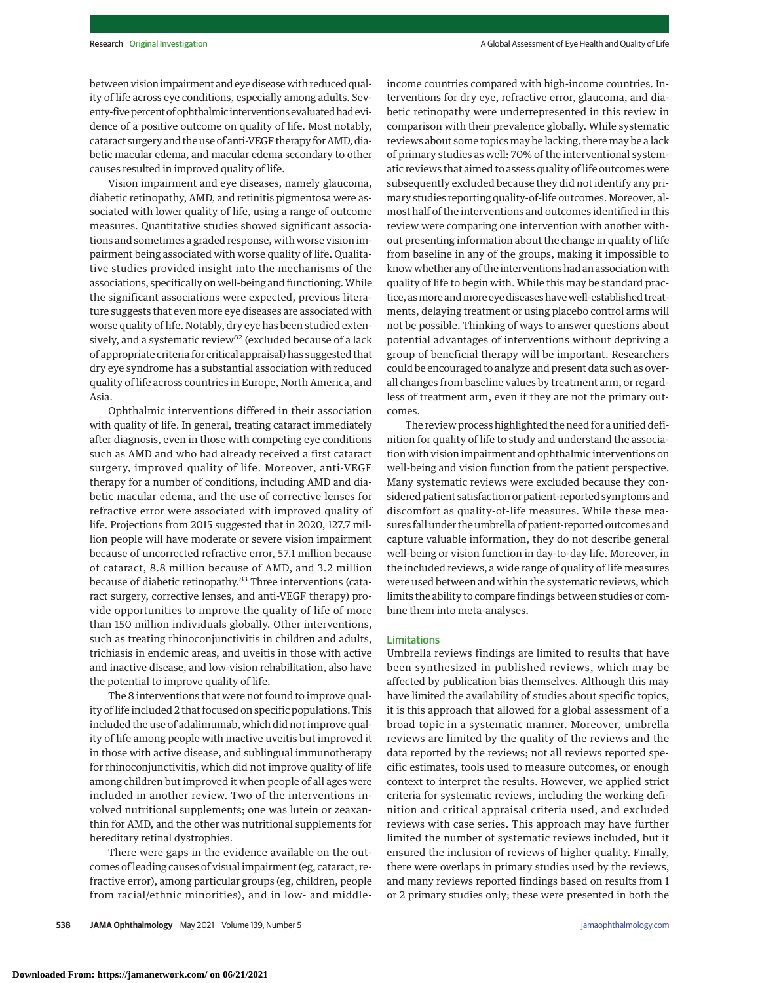between vision impairment and eye disease with reduced quality of life across eye conditions, especially among adults. Seventy-five percent of ophthalmic interventions evaluated had evidence of a positive outcome on quality of life. Most notably, cataract surgery and the use of anti-VEGF therapy for AMD, diabetic macular edema, and macular edema secondary to other causes resulted in improved quality of life.

Vision impairment and eye diseases, namely glaucoma, diabetic retinopathy, AMD, and retinitis pigmentosa were associated with lower quality of life, using a range of outcome measures. Quantitative studies showed significant associations and sometimes a graded response, with worse vision impairment being associated with worse quality of life. Qualitative studies provided insight into the mechanisms of the associations, specifically on well-being and functioning.While the significant associations were expected, previous literature suggests that even more eye diseases are associated with worse quality of life. Notably, dry eye has been studied extensively, and a systematic review<sup>82</sup> (excluded because of a lack of appropriate criteria for critical appraisal) has suggested that dry eye syndrome has a substantial association with reduced quality of life across countries in Europe, North America, and Asia.

Ophthalmic interventions differed in their association with quality of life. In general, treating cataract immediately after diagnosis, even in those with competing eye conditions such as AMD and who had already received a first cataract surgery, improved quality of life. Moreover, anti-VEGF therapy for a number of conditions, including AMD and diabetic macular edema, and the use of corrective lenses for refractive error were associated with improved quality of life. Projections from 2015 suggested that in 2020, 127.7 million people will have moderate or severe vision impairment because of uncorrected refractive error, 57.1 million because of cataract, 8.8 million because of AMD, and 3.2 million because of diabetic retinopathy.<sup>83</sup> Three interventions (cataract surgery, corrective lenses, and anti-VEGF therapy) provide opportunities to improve the quality of life of more than 150 million individuals globally. Other interventions, such as treating rhinoconjunctivitis in children and adults, trichiasis in endemic areas, and uveitis in those with active and inactive disease, and low-vision rehabilitation, also have the potential to improve quality of life.

The 8 interventions that were not found to improve quality of life included 2 that focused on specific populations. This included the use of adalimumab, which did not improve quality of life among people with inactive uveitis but improved it in those with active disease, and sublingual immunotherapy for rhinoconjunctivitis, which did not improve quality of life among children but improved it when people of all ages were included in another review. Two of the interventions involved nutritional supplements; one was lutein or zeaxanthin for AMD, and the other was nutritional supplements for hereditary retinal dystrophies.

There were gaps in the evidence available on the outcomes of leading causes of visual impairment (eg, cataract, refractive error), among particular groups (eg, children, people from racial/ethnic minorities), and in low- and middleincome countries compared with high-income countries. Interventions for dry eye, refractive error, glaucoma, and diabetic retinopathy were underrepresented in this review in comparison with their prevalence globally. While systematic reviews about some topics may be lacking, there may be a lack of primary studies as well: 70% of the interventional systematic reviews that aimed to assess quality of life outcomes were subsequently excluded because they did not identify any primary studies reporting quality-of-life outcomes. Moreover, almost half of the interventions and outcomes identified in this review were comparing one intervention with another without presenting information about the change in quality of life from baseline in any of the groups, making it impossible to know whether any of the interventions had an association with quality of life to begin with. While this may be standard practice, asmore andmore eye diseases havewell-established treatments, delaying treatment or using placebo control arms will not be possible. Thinking of ways to answer questions about potential advantages of interventions without depriving a group of beneficial therapy will be important. Researchers could be encouraged to analyze and present data such as overall changes from baseline values by treatment arm, or regardless of treatment arm, even if they are not the primary outcomes.

The review process highlighted the need for a unified definition for quality of life to study and understand the association with vision impairment and ophthalmic interventions on well-being and vision function from the patient perspective. Many systematic reviews were excluded because they considered patient satisfaction or patient-reported symptoms and discomfort as quality-of-life measures. While these measures fall under the umbrella of patient-reported outcomes and capture valuable information, they do not describe general well-being or vision function in day-to-day life. Moreover, in the included reviews, a wide range of quality of life measures were used between and within the systematic reviews, which limits the ability to compare findings between studies or combine them into meta-analyses.

## Limitations

Umbrella reviews findings are limited to results that have been synthesized in published reviews, which may be affected by publication bias themselves. Although this may have limited the availability of studies about specific topics, it is this approach that allowed for a global assessment of a broad topic in a systematic manner. Moreover, umbrella reviews are limited by the quality of the reviews and the data reported by the reviews; not all reviews reported specific estimates, tools used to measure outcomes, or enough context to interpret the results. However, we applied strict criteria for systematic reviews, including the working definition and critical appraisal criteria used, and excluded reviews with case series. This approach may have further limited the number of systematic reviews included, but it ensured the inclusion of reviews of higher quality. Finally, there were overlaps in primary studies used by the reviews, and many reviews reported findings based on results from 1 or 2 primary studies only; these were presented in both the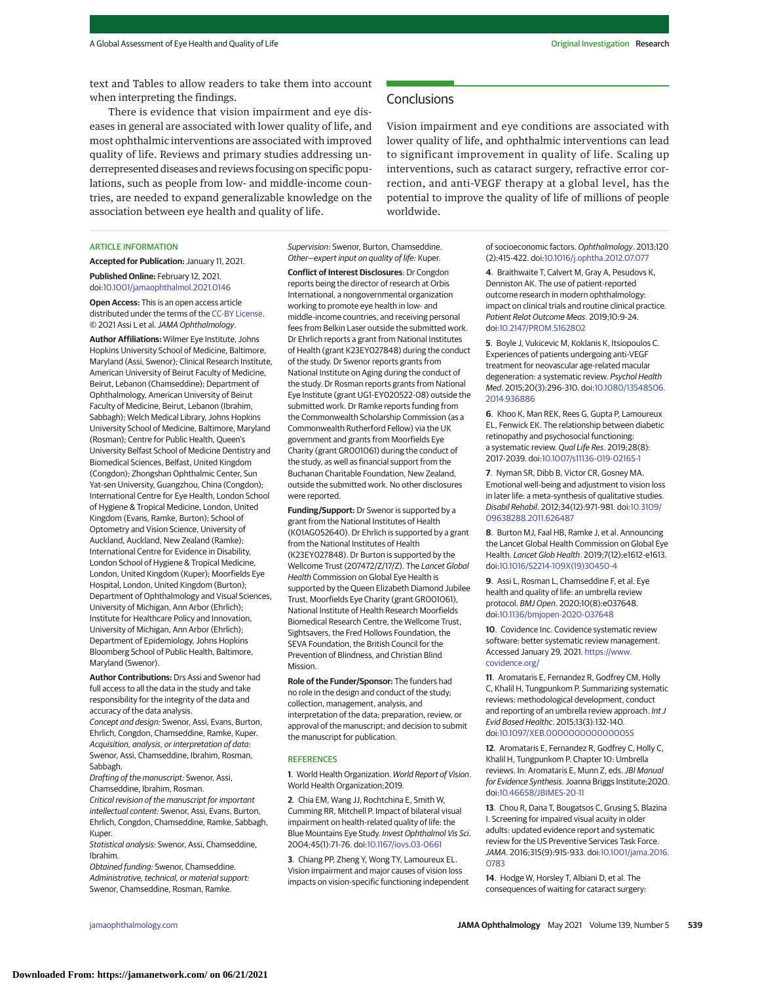text and Tables to allow readers to take them into account when interpreting the findings.

There is evidence that vision impairment and eye diseases in general are associated with lower quality of life, and most ophthalmic interventions are associated with improved quality of life. Reviews and primary studies addressing underrepresented diseases and reviews focusing on specific populations, such as people from low- and middle-income countries, are needed to expand generalizable knowledge on the association between eye health and quality of life.

## ARTICLE INFORMATION

**Accepted for Publication:** January 11, 2021.

**Published Online:** February 12, 2021. doi[:10.1001/jamaophthalmol.2021.0146](https://jamanetwork.com/journals/jama/fullarticle/10.1001/jamaophthalmol.2021.0146?utm_campaign=articlePDF%26utm_medium=articlePDFlink%26utm_source=articlePDF%26utm_content=jamaophthalmol.2021.0146)

**Open Access:** This is an open access article distributed under the terms of the [CC-BY License.](https://jamanetwork.com/pages/cc-by-license-permissions?utm_campaign=articlePDF%26utm_medium=articlePDFlink%26utm_source=articlePDF%26utm_content=jamaophthalmol.2021.0146) © 2021 Assi L et al.JAMA Ophthalmology.

**Author Affiliations:** Wilmer Eye Institute, Johns Hopkins University School of Medicine, Baltimore, Maryland (Assi, Swenor); Clinical Research Institute, American University of Beirut Faculty of Medicine, Beirut, Lebanon (Chamseddine); Department of Ophthalmology, American University of Beirut Faculty of Medicine, Beirut, Lebanon (Ibrahim, Sabbagh); Welch Medical Library, Johns Hopkins University School of Medicine, Baltimore, Maryland (Rosman); Centre for Public Health, Queen's University Belfast School of Medicine Dentistry and Biomedical Sciences, Belfast, United Kingdom (Congdon); Zhongshan Ophthalmic Center, Sun Yat-sen University, Guangzhou, China (Congdon); International Centre for Eye Health, London School of Hygiene & Tropical Medicine, London, United Kingdom (Evans, Ramke, Burton); School of Optometry and Vision Science, University of Auckland, Auckland, New Zealand (Ramke); International Centre for Evidence in Disability, London School of Hygiene & Tropical Medicine, London, United Kingdom (Kuper); Moorfields Eye Hospital, London, United Kingdom (Burton); Department of Ophthalmology and Visual Sciences, University of Michigan, Ann Arbor (Ehrlich); Institute for Healthcare Policy and Innovation, University of Michigan, Ann Arbor (Ehrlich); Department of Epidemiology, Johns Hopkins Bloomberg School of Public Health, Baltimore, Maryland (Swenor).

**Author Contributions:** Drs Assi and Swenor had full access to all the data in the study and take responsibility for the integrity of the data and accuracy of the data analysis. Concept and design: Swenor, Assi, Evans, Burton, Ehrlich, Congdon, Chamseddine, Ramke, Kuper. Acquisition, analysis, or interpretation of data: Swenor, Assi, Chamseddine, Ibrahim, Rosman,

Sabbagh. Drafting of the manuscript: Swenor, Assi, Chamseddine, Ibrahim, Rosman.

Critical revision of the manuscript for important intellectual content: Swenor, Assi, Evans, Burton, Ehrlich, Congdon, Chamseddine, Ramke, Sabbagh, Kuper.

Statistical analysis: Swenor, Assi, Chamseddine, Ibrahim.

Obtained funding: Swenor, Chamseddine. Administrative, technical, or material support: Swenor, Chamseddine, Rosman, Ramke.

Supervision: Swenor, Burton, Chamseddine. Other—expert input on quality of life: Kuper.

**Conflict of Interest Disclosures**: Dr Congdon reports being the director of research at Orbis International, a nongovernmental organization working to promote eye health in low- and middle-income countries, and receiving personal fees from Belkin Laser outside the submitted work. Dr Ehrlich reports a grant from National Institutes of Health (grant K23EY027848) during the conduct of the study. Dr Swenor reports grants from National Institute on Aging during the conduct of the study. Dr Rosman reports grants from National Eye Institute (grant UG1-EY020522-08) outside the submitted work. Dr Ramke reports funding from the Commonwealth Scholarship Commission (as a Commonwealth Rutherford Fellow) via the UK government and grants from Moorfields Eye Charity (grant GR001061) during the conduct of the study, as well as financial support from the Buchanan Charitable Foundation, New Zealand, outside the submitted work. No other disclosures were reported.

**Funding/Support:** Dr Swenor is supported by a grant from the National Institutes of Health (K01AG052640). Dr Ehrlich is supported by a grant from the National Institutes of Health (K23EY027848). Dr Burton is supported by the Wellcome Trust (207472/Z/17/Z). The Lancet Global Health Commission on Global Eye Health is supported by the Queen Elizabeth Diamond Jubilee Trust, Moorfields Eye Charity (grant GR001061), National Institute of Health Research Moorfields Biomedical Research Centre, the Wellcome Trust, Sightsavers, the Fred Hollows Foundation, the SEVA Foundation, the British Council for the Prevention of Blindness, and Christian Blind Mission.

**Role of the Funder/Sponsor:** The funders had no role in the design and conduct of the study; collection, management, analysis, and interpretation of the data; preparation, review, or approval of the manuscript; and decision to submit the manuscript for publication.

#### **REFERENCES**

**1**. World Health Organization. World Report of Vision. World Health Organization;2019.

**2**. Chia EM, Wang JJ, Rochtchina E, Smith W, Cumming RR, Mitchell P. Impact of bilateral visual impairment on health-related quality of life: the Blue Mountains Eye Study. Invest Ophthalmol Vis Sci. 2004;45(1):71-76. doi[:10.1167/iovs.03-0661](https://dx.doi.org/10.1167/iovs.03-0661)

**3**. Chiang PP, Zheng Y, Wong TY, Lamoureux EL. Vision impairment and major causes of vision loss impacts on vision-specific functioning independent

**Conclusions** 

Vision impairment and eye conditions are associated with lower quality of life, and ophthalmic interventions can lead to significant improvement in quality of life. Scaling up interventions, such as cataract surgery, refractive error correction, and anti-VEGF therapy at a global level, has the potential to improve the quality of life of millions of people worldwide.

> of socioeconomic factors. Ophthalmology. 2013;120 (2):415-422. doi[:10.1016/j.ophtha.2012.07.077](https://dx.doi.org/10.1016/j.ophtha.2012.07.077)

**4**. Braithwaite T, Calvert M, Gray A, Pesudovs K, Denniston AK. The use of patient-reported outcome research in modern ophthalmology: impact on clinical trials and routine clinical practice. Patient Relat Outcome Meas. 2019;10:9-24. doi[:10.2147/PROM.S162802](https://dx.doi.org/10.2147/PROM.S162802)

**5**. Boyle J, Vukicevic M, Koklanis K, Itsiopoulos C. Experiences of patients undergoing anti-VEGF treatment for neovascular age-related macular degeneration: a systematic review. Psychol Health Med. 2015;20(3):296-310. doi[:10.1080/13548506.](https://dx.doi.org/10.1080/13548506.2014.936886) [2014.936886](https://dx.doi.org/10.1080/13548506.2014.936886)

**6**. Khoo K, Man REK, Rees G, Gupta P, Lamoureux EL, Fenwick EK. The relationship between diabetic retinopathy and psychosocial functioning: a systematic review. Qual Life Res. 2019;28(8): 2017-2039. doi[:10.1007/s11136-019-02165-1](https://dx.doi.org/10.1007/s11136-019-02165-1)

**7**. Nyman SR, Dibb B, Victor CR, Gosney MA. Emotional well-being and adjustment to vision loss in later life: a meta-synthesis of qualitative studies. Disabil Rehabil. 2012;34(12):971-981. doi[:10.3109/](https://dx.doi.org/10.3109/09638288.2011.626487) [09638288.2011.626487](https://dx.doi.org/10.3109/09638288.2011.626487)

**8**. Burton MJ, Faal HB, Ramke J, et al. Announcing the Lancet Global Health Commission on Global Eye Health. Lancet Glob Health. 2019;7(12):e1612-e1613. doi[:10.1016/S2214-109X\(19\)30450-4](https://dx.doi.org/10.1016/S2214-109X(19)30450-4)

**9**. Assi L, Rosman L, Chamseddine F, et al. Eye health and quality of life: an umbrella review protocol. BMJ Open. 2020;10(8):e037648. doi[:10.1136/bmjopen-2020-037648](https://dx.doi.org/10.1136/bmjopen-2020-037648)

**10**. Covidence Inc. Covidence systematic review software: better systematic review management. Accessed January 29, 2021. [https://www.](https://www.covidence.org/) [covidence.org/](https://www.covidence.org/)

**11**. Aromataris E, Fernandez R, Godfrey CM, Holly C, Khalil H, Tungpunkom P. Summarizing systematic reviews: methodological development, conduct and reporting of an umbrella review approach. Int J Evid Based Healthc. 2015;13(3):132-140. doi[:10.1097/XEB.0000000000000055](https://dx.doi.org/10.1097/XEB.0000000000000055)

**12**. Aromataris E, Fernandez R, Godfrey C, Holly C, Khalil H, Tungpunkom P. Chapter 10: Umbrella reviews. In: Aromataris E, Munn Z, eds.JBI Manual for Evidence Synthesis. Joanna Briggs Institute;2020. doi[:10.46658/JBIMES-20-11](https://dx.doi.org/10.46658/JBIMES-20-11)

**13**. Chou R, Dana T, Bougatsos C, Grusing S, Blazina I. Screening for impaired visual acuity in older adults: updated evidence report and systematic review for the US Preventive Services Task Force. JAMA. 2016;315(9):915-933. doi[:10.1001/jama.2016.](https://jamanetwork.com/journals/jama/fullarticle/10.1001/jama.2016.0783?utm_campaign=articlePDF%26utm_medium=articlePDFlink%26utm_source=articlePDF%26utm_content=jamaophthalmol.2021.0146) [0783](https://jamanetwork.com/journals/jama/fullarticle/10.1001/jama.2016.0783?utm_campaign=articlePDF%26utm_medium=articlePDFlink%26utm_source=articlePDF%26utm_content=jamaophthalmol.2021.0146)

**14**. Hodge W, Horsley T, Albiani D, et al. The consequences of waiting for cataract surgery: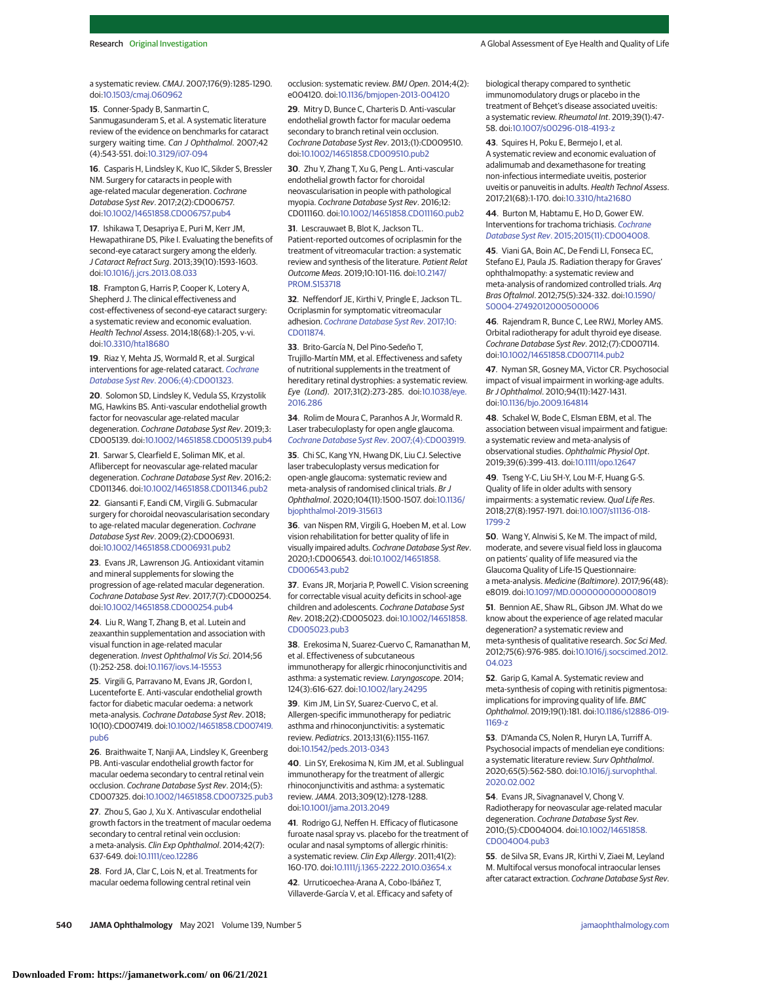a systematic review. CMAJ. 2007;176(9):1285-1290. doi[:10.1503/cmaj.060962](https://dx.doi.org/10.1503/cmaj.060962)

**15**. Conner-Spady B, Sanmartin C, Sanmugasunderam S, et al. A systematic literature review of the evidence on benchmarks for cataract surgery waiting time. Can J Ophthalmol. 2007;42 (4):543-551. doi[:10.3129/i07-094](https://dx.doi.org/10.3129/i07-094)

**16**. Casparis H, Lindsley K, Kuo IC, Sikder S, Bressler NM. Surgery for cataracts in people with age-related macular degeneration. Cochrane Database Syst Rev. 2017;2(2):CD006757. doi[:10.1002/14651858.CD006757.pub4](https://dx.doi.org/10.1002/14651858.CD006757.pub4)

**17**. Ishikawa T, Desapriya E, Puri M, Kerr JM, Hewapathirane DS, Pike I. Evaluating the benefits of second-eye cataract surgery among the elderly. J Cataract Refract Surg. 2013;39(10):1593-1603. doi[:10.1016/j.jcrs.2013.08.033](https://dx.doi.org/10.1016/j.jcrs.2013.08.033)

**18**. Frampton G, Harris P, Cooper K, Lotery A, Shepherd J. The clinical effectiveness and cost-effectiveness of second-eye cataract surgery: a systematic review and economic evaluation. Health Technol Assess. 2014;18(68):1-205, v-vi. doi[:10.3310/hta18680](https://dx.doi.org/10.3310/hta18680)

**19**. Riaz Y, Mehta JS, Wormald R, et al. Surgical interventions for age-related cataract. [Cochrane](https://www.ncbi.nlm.nih.gov/pubmed/17054134) Database Syst Rev[. 2006;\(4\):CD001323.](https://www.ncbi.nlm.nih.gov/pubmed/17054134)

**20**[. Solomon SD, Lindsley K, Vedula SS, Krzystolik](https://www.ncbi.nlm.nih.gov/pubmed/17054134) [MG, Hawkins BS. Anti-vascular endothelial growth](https://www.ncbi.nlm.nih.gov/pubmed/17054134) [factor for neovascular age-related macular](https://www.ncbi.nlm.nih.gov/pubmed/17054134) degeneration. [Cochrane Database Syst Rev](https://www.ncbi.nlm.nih.gov/pubmed/17054134). 2019;3: CD005139. doi[:10.1002/14651858.CD005139.pub4](https://dx.doi.org/10.1002/14651858.CD005139.pub4)

**21**. Sarwar S, Clearfield E, Soliman MK, et al. Aflibercept for neovascular age-related macular degeneration. Cochrane Database Syst Rev. 2016;2: CD011346. doi[:10.1002/14651858.CD011346.pub2](https://dx.doi.org/10.1002/14651858.CD011346.pub2)

**22**. Giansanti F, Eandi CM, Virgili G. Submacular surgery for choroidal neovascularisation secondary to age-related macular degeneration. Cochrane Database Syst Rev. 2009;(2):CD006931. doi[:10.1002/14651858.CD006931.pub2](https://dx.doi.org/10.1002/14651858.CD006931.pub2)

**23**. Evans JR, Lawrenson JG. Antioxidant vitamin and mineral supplements for slowing the progression of age-related macular degeneration. Cochrane Database Syst Rev. 2017;7(7):CD000254. doi[:10.1002/14651858.CD000254.pub4](https://dx.doi.org/10.1002/14651858.CD000254.pub4)

**24**. Liu R, Wang T, Zhang B, et al. Lutein and zeaxanthin supplementation and association with visual function in age-related macular degeneration. Invest Ophthalmol Vis Sci. 2014;56 (1):252-258. doi[:10.1167/iovs.14-15553](https://dx.doi.org/10.1167/iovs.14-15553)

**25**. Virgili G, Parravano M, Evans JR, Gordon I, Lucenteforte E. Anti-vascular endothelial growth factor for diabetic macular oedema: a network meta-analysis. Cochrane Database Syst Rev. 2018; 10(10):CD007419. doi[:10.1002/14651858.CD007419.](https://dx.doi.org/10.1002/14651858.CD007419.pub6) [pub6](https://dx.doi.org/10.1002/14651858.CD007419.pub6)

**26**. Braithwaite T, Nanji AA, Lindsley K, Greenberg PB. Anti-vascular endothelial growth factor for macular oedema secondary to central retinal vein occlusion. Cochrane Database Syst Rev. 2014;(5): CD007325. doi[:10.1002/14651858.CD007325.pub3](https://dx.doi.org/10.1002/14651858.CD007325.pub3)

**27**. Zhou S, Gao J, Xu X. Antivascular endothelial growth factors in the treatment of macular oedema secondary to central retinal vein occlusion: a meta-analysis. Clin Exp Ophthalmol. 2014;42(7): 637-649. doi[:10.1111/ceo.12286](https://dx.doi.org/10.1111/ceo.12286)

**28**. Ford JA, Clar C, Lois N, et al. Treatments for macular oedema following central retinal vein

occlusion: systematic review. BMJ Open. 2014;4(2): e004120. doi[:10.1136/bmjopen-2013-004120](https://dx.doi.org/10.1136/bmjopen-2013-004120)

**29**. Mitry D, Bunce C, Charteris D. Anti-vascular endothelial growth factor for macular oedema secondary to branch retinal vein occlusion. Cochrane Database Syst Rev. 2013;(1):CD009510. doi[:10.1002/14651858.CD009510.pub2](https://dx.doi.org/10.1002/14651858.CD009510.pub2)

**30**. Zhu Y, Zhang T, Xu G, Peng L. Anti-vascular endothelial growth factor for choroidal neovascularisation in people with pathological myopia. Cochrane Database Syst Rev. 2016;12: CD011160. doi[:10.1002/14651858.CD011160.pub2](https://dx.doi.org/10.1002/14651858.CD011160.pub2)

**31**. Lescrauwaet B, Blot K, Jackson TL. Patient-reported outcomes of ocriplasmin for the treatment of vitreomacular traction: a systematic review and synthesis of the literature. Patient Relat Outcome Meas. 2019;10:101-116. doi[:10.2147/](https://dx.doi.org/10.2147/PROM.S153718) [PROM.S153718](https://dx.doi.org/10.2147/PROM.S153718)

**32**. Neffendorf JE, Kirthi V, Pringle E, Jackson TL. Ocriplasmin for symptomatic vitreomacular adhesion. [Cochrane Database Syst Rev](https://www.ncbi.nlm.nih.gov/pubmed/29040800). 2017;10: [CD011874.](https://www.ncbi.nlm.nih.gov/pubmed/29040800)

**33**[. Brito-García N, Del Pino-Sedeño T,](https://www.ncbi.nlm.nih.gov/pubmed/29040800) [Trujillo-Martín MM, et al. Effectiveness and safety](https://www.ncbi.nlm.nih.gov/pubmed/29040800) [of nutritional supplements in the treatment of](https://www.ncbi.nlm.nih.gov/pubmed/29040800) [hereditary retinal dystrophies: a systematic review.](https://www.ncbi.nlm.nih.gov/pubmed/29040800) Eye (Lond). 2017;31(2):273-285. doi[:10.1038/eye.](https://dx.doi.org/10.1038/eye.2016.286) [2016.286](https://dx.doi.org/10.1038/eye.2016.286)

**34**. Rolim de Moura C, Paranhos A Jr, Wormald R. Laser trabeculoplasty for open angle glaucoma. [Cochrane Database Syst Rev](https://www.ncbi.nlm.nih.gov/pubmed/17943806). 2007;(4):CD003919.

**35**[. Chi SC, Kang YN, Hwang DK, Liu CJ. Selective](https://www.ncbi.nlm.nih.gov/pubmed/17943806) [laser trabeculoplasty versus medication for](https://www.ncbi.nlm.nih.gov/pubmed/17943806) [open-angle glaucoma: systematic review and](https://www.ncbi.nlm.nih.gov/pubmed/17943806) [meta-analysis of randomised clinical trials.](https://www.ncbi.nlm.nih.gov/pubmed/17943806) Br J Ophthalmol. 2020;104(11):1500-1507. doi[:10.1136/](https://dx.doi.org/10.1136/bjophthalmol-2019-315613) [bjophthalmol-2019-315613](https://dx.doi.org/10.1136/bjophthalmol-2019-315613)

**36**. van Nispen RM, Virgili G, Hoeben M, et al. Low vision rehabilitation for better quality of life in visually impaired adults. Cochrane Database Syst Rev. 2020;1:CD006543. doi[:10.1002/14651858.](https://dx.doi.org/10.1002/14651858.CD006543.pub2) [CD006543.pub2](https://dx.doi.org/10.1002/14651858.CD006543.pub2)

**37**. Evans JR, Morjaria P, Powell C. Vision screening for correctable visual acuity deficits in school-age children and adolescents. Cochrane Database Syst Rev. 2018;2(2):CD005023. doi[:10.1002/14651858.](https://dx.doi.org/10.1002/14651858.CD005023.pub3) [CD005023.pub3](https://dx.doi.org/10.1002/14651858.CD005023.pub3)

**38**. Erekosima N, Suarez-Cuervo C, Ramanathan M, et al. Effectiveness of subcutaneous immunotherapy for allergic rhinoconjunctivitis and asthma: a systematic review. Laryngoscope. 2014; 124(3):616-627. doi[:10.1002/lary.24295](https://dx.doi.org/10.1002/lary.24295)

**39**. Kim JM, Lin SY, Suarez-Cuervo C, et al. Allergen-specific immunotherapy for pediatric asthma and rhinoconjunctivitis: a systematic review. Pediatrics. 2013;131(6):1155-1167. doi[:10.1542/peds.2013-0343](https://dx.doi.org/10.1542/peds.2013-0343)

**40**. Lin SY, Erekosima N, Kim JM, et al. Sublingual immunotherapy for the treatment of allergic rhinoconjunctivitis and asthma: a systematic review.JAMA. 2013;309(12):1278-1288. doi[:10.1001/jama.2013.2049](https://jamanetwork.com/journals/jama/fullarticle/10.1001/jama.2013.2049?utm_campaign=articlePDF%26utm_medium=articlePDFlink%26utm_source=articlePDF%26utm_content=jamaophthalmol.2021.0146)

**41**. Rodrigo GJ, Neffen H. Efficacy of fluticasone furoate nasal spray vs. placebo for the treatment of ocular and nasal symptoms of allergic rhinitis: a systematic review. Clin Exp Allergy. 2011;41(2): 160-170. doi[:10.1111/j.1365-2222.2010.03654.x](https://dx.doi.org/10.1111/j.1365-2222.2010.03654.x)

**42**. Urruticoechea-Arana A, Cobo-Ibáñez T, Villaverde-García V, et al. Efficacy and safety of biological therapy compared to synthetic immunomodulatory drugs or placebo in the treatment of Behçet's disease associated uveitis: a systematic review. Rheumatol Int. 2019;39(1):47- 58. doi[:10.1007/s00296-018-4193-z](https://dx.doi.org/10.1007/s00296-018-4193-z)

**43**. Squires H, Poku E, Bermejo I, et al. A systematic review and economic evaluation of adalimumab and dexamethasone for treating non-infectious intermediate uveitis, posterior uveitis or panuveitis in adults. Health Technol Assess. 2017;21(68):1-170. doi[:10.3310/hta21680](https://dx.doi.org/10.3310/hta21680)

**44**. Burton M, Habtamu E, Ho D, Gower EW. Interventions for trachoma trichiasis. [Cochrane](https://www.ncbi.nlm.nih.gov/pubmed/26568232) Database Syst Rev[. 2015;2015\(11\):CD004008.](https://www.ncbi.nlm.nih.gov/pubmed/26568232)

**45**[. Viani GA, Boin AC, De Fendi LI, Fonseca EC,](https://www.ncbi.nlm.nih.gov/pubmed/26568232) [Stefano EJ, Paula JS. Radiation therapy for Graves'](https://www.ncbi.nlm.nih.gov/pubmed/26568232) [ophthalmopathy: a systematic review and](https://www.ncbi.nlm.nih.gov/pubmed/26568232) [meta-analysis of randomized controlled trials.](https://www.ncbi.nlm.nih.gov/pubmed/26568232) Arq Bras Oftalmol. 2012;75(5):324-332. doi[:10.1590/](https://dx.doi.org/10.1590/S0004-27492012000500006) [S0004-27492012000500006](https://dx.doi.org/10.1590/S0004-27492012000500006)

**46**. Rajendram R, Bunce C, Lee RWJ, Morley AMS. Orbital radiotherapy for adult thyroid eye disease. Cochrane Database Syst Rev. 2012;(7):CD007114. doi[:10.1002/14651858.CD007114.pub2](https://dx.doi.org/10.1002/14651858.CD007114.pub2)

**47**. Nyman SR, Gosney MA, Victor CR. Psychosocial impact of visual impairment in working-age adults. Br J Ophthalmol. 2010;94(11):1427-1431. doi[:10.1136/bjo.2009.164814](https://dx.doi.org/10.1136/bjo.2009.164814)

**48**. Schakel W, Bode C, Elsman EBM, et al. The association between visual impairment and fatigue: a systematic review and meta-analysis of observational studies. Ophthalmic Physiol Opt. 2019;39(6):399-413. doi[:10.1111/opo.12647](https://dx.doi.org/10.1111/opo.12647)

**49**. Tseng Y-C, Liu SH-Y, Lou M-F, Huang G-S. Quality of life in older adults with sensory impairments: a systematic review. Qual Life Res. 2018;27(8):1957-1971. doi[:10.1007/s11136-018-](https://dx.doi.org/10.1007/s11136-018-1799-2) [1799-2](https://dx.doi.org/10.1007/s11136-018-1799-2)

**50**. Wang Y, Alnwisi S, Ke M. The impact of mild, moderate, and severe visual field loss in glaucoma on patients' quality of life measured via the Glaucoma Quality of Life-15 Questionnaire: a meta-analysis. Medicine (Baltimore). 2017;96(48): e8019. doi[:10.1097/MD.0000000000008019](https://dx.doi.org/10.1097/MD.0000000000008019)

**51**. Bennion AE, Shaw RL, Gibson JM. What do we know about the experience of age related macular degeneration? a systematic review and meta-synthesis of qualitative research. Soc Sci Med. 2012;75(6):976-985. doi[:10.1016/j.socscimed.2012.](https://dx.doi.org/10.1016/j.socscimed.2012.04.023) [04.023](https://dx.doi.org/10.1016/j.socscimed.2012.04.023)

**52**. Garip G, Kamal A. Systematic review and meta-synthesis of coping with retinitis pigmentosa: implications for improving quality of life. BMC Ophthalmol. 2019;19(1):181. doi[:10.1186/s12886-019-](https://dx.doi.org/10.1186/s12886-019-1169-z) [1169-z](https://dx.doi.org/10.1186/s12886-019-1169-z)

**53**. D'Amanda CS, Nolen R, Huryn LA, Turriff A. Psychosocial impacts of mendelian eye conditions: a systematic literature review. Surv Ophthalmol. 2020;65(5):562-580. doi[:10.1016/j.survophthal.](https://dx.doi.org/10.1016/j.survophthal.2020.02.002) [2020.02.002](https://dx.doi.org/10.1016/j.survophthal.2020.02.002)

**54**. Evans JR, Sivagnanavel V, Chong V. Radiotherapy for neovascular age-related macular degeneration. Cochrane Database Syst Rev. 2010;(5):CD004004. doi[:10.1002/14651858.](https://dx.doi.org/10.1002/14651858.CD004004.pub3) [CD004004.pub3](https://dx.doi.org/10.1002/14651858.CD004004.pub3)

**55**. de Silva SR, Evans JR, Kirthi V, Ziaei M, Leyland M. Multifocal versus monofocal intraocular lenses after cataract extraction. Cochrane Database Syst Rev.